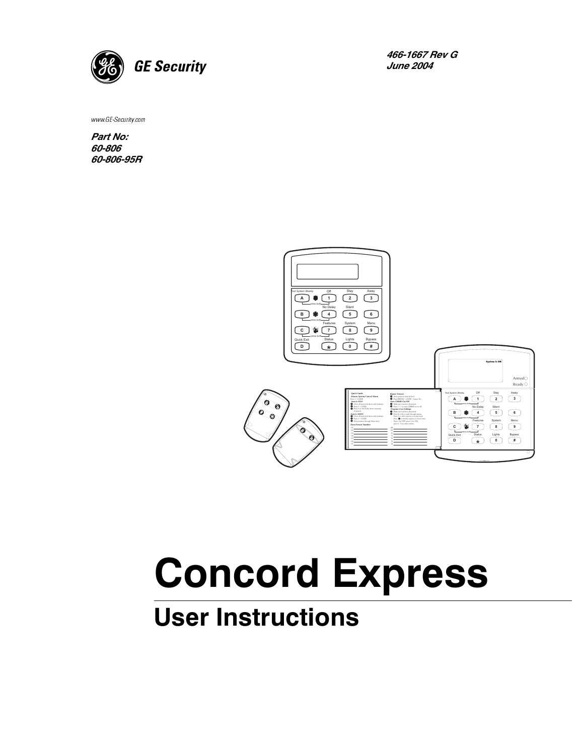

466-1667 Rev G **June 2004** 

www.GE-Security.com

Part No: 60-806 60-806-95R



# **Concord Express**

## **User Instructions**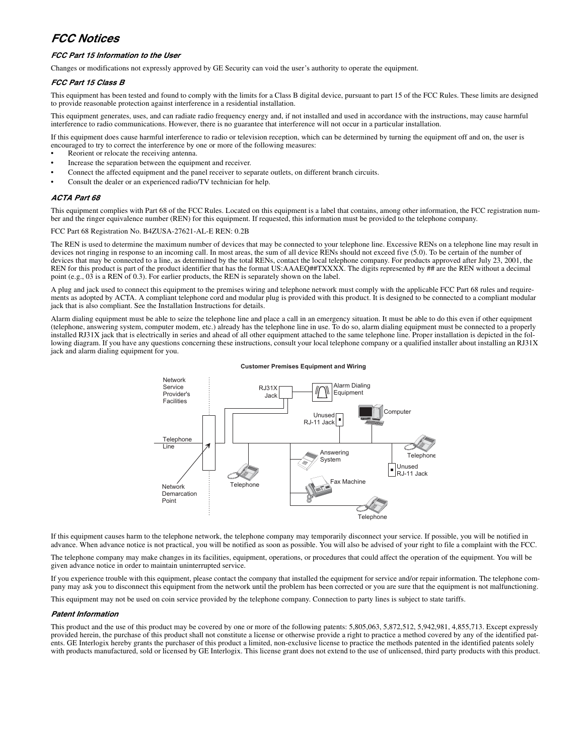#### *FCC Notices*

#### *FCC Part 15 Information to the User*

Changes or modifications not expressly approved by GE Security can void the user's authority to operate the equipment.

#### *FCC Part 15 Class B*

This equipment has been tested and found to comply with the limits for a Class B digital device, pursuant to part 15 of the FCC Rules. These limits are designed to provide reasonable protection against interference in a residential installation.

This equipment generates, uses, and can radiate radio frequency energy and, if not installed and used in accordance with the instructions, may cause harmful interference to radio communications. However, there is no guarantee that interference will not occur in a particular installation.

If this equipment does cause harmful interference to radio or television reception, which can be determined by turning the equipment off and on, the user is encouraged to try to correct the interference by one or more of the following measures:

- Reorient or relocate the receiving antenna.
- Increase the separation between the equipment and receiver.
- Connect the affected equipment and the panel receiver to separate outlets, on different branch circuits.
- Consult the dealer or an experienced radio/TV technician for help.

#### *ACTA Part 68*

This equipment complies with Part 68 of the FCC Rules. Located on this equipment is a label that contains, among other information, the FCC registration number and the ringer equivalence number (REN) for this equipment. If requested, this information must be provided to the telephone company.

#### FCC Part 68 Registration No. B4ZUSA-27621-AL-E REN: 0.2B

The REN is used to determine the maximum number of devices that may be connected to your telephone line. Excessive RENs on a telephone line may result in devices not ringing in response to an incoming call. In most areas, the sum of all device RENs should not exceed five (5.0). To be certain of the number of devices that may be connected to a line, as determined by the total RENs, contact the local telephone company. For products approved after July 23, 2001, the REN for this product is part of the product identifier that has the format US:AAAEQ##TXXXX. The digits represented by ## are the REN without a decimal point (e.g., 03 is a REN of 0.3). For earlier products, the REN is separately shown on the label.

A plug and jack used to connect this equipment to the premises wiring and telephone network must comply with the applicable FCC Part 68 rules and requirements as adopted by ACTA. A compliant telephone cord and modular plug is provided with this product. It is designed to be connected to a compliant modular jack that is also compliant. See the Installation Instructions for details.

Alarm dialing equipment must be able to seize the telephone line and place a call in an emergency situation. It must be able to do this even if other equipment (telephone, answering system, computer modem, etc.) already has the telephone line in use. To do so, alarm dialing equipment must be connected to a properly installed RJ31X jack that is electrically in series and ahead of all other equipment attached to the same telephone line. Proper installation is depicted in the following diagram. If you have any questions concerning these instructions, consult your local telephone company or a qualified installer about installing an RJ31X jack and alarm dialing equipment for you.





If this equipment causes harm to the telephone network, the telephone company may temporarily disconnect your service. If possible, you will be notified in advance. When advance notice is not practical, you will be notified as soon as possible. You will also be advised of your right to file a complaint with the FCC.

The telephone company may make changes in its facilities, equipment, operations, or procedures that could affect the operation of the equipment. You will be given advance notice in order to maintain uninterrupted service.

If you experience trouble with this equipment, please contact the company that installed the equipment for service and/or repair information. The telephone company may ask you to disconnect this equipment from the network until the problem has been corrected or you are sure that the equipment is not malfunctioning.

This equipment may not be used on coin service provided by the telephone company. Connection to party lines is subject to state tariffs.

#### *Patent Information*

This product and the use of this product may be covered by one or more of the following patents: 5,805,063, 5,872,512, 5,942,981, 4,855,713. Except expressly provided herein, the purchase of this product shall not constitute a license or otherwise provide a right to practice a method covered by any of the identified patents. GE Interlogix hereby grants the purchaser of this product a limited, non-exclusive license to practice the methods patented in the identified patents solely with products manufactured, sold or licensed by GE Interlogix. This license grant does not extend to the use of unlicensed, third party products with this product.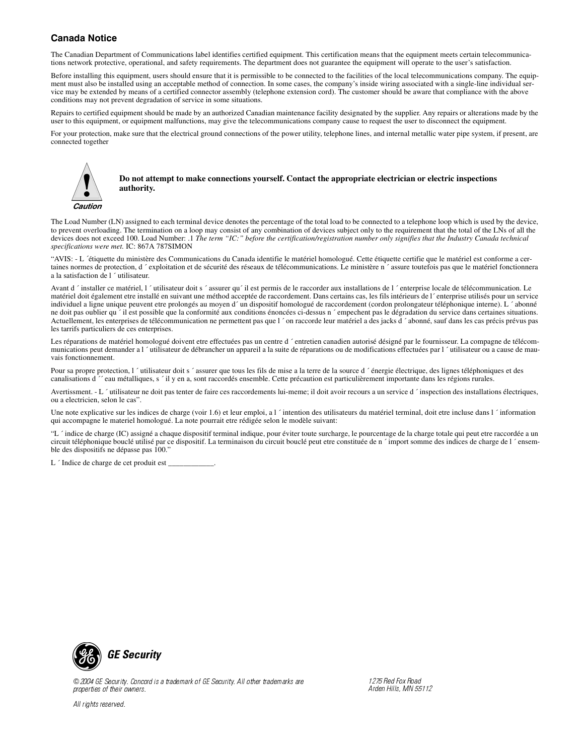#### **Canada Notice**

The Canadian Department of Communications label identifies certified equipment. This certification means that the equipment meets certain telecommunications network protective, operational, and safety requirements. The department does not guarantee the equipment will operate to the user's satisfaction.

Before installing this equipment, users should ensure that it is permissible to be connected to the facilities of the local telecommunications company. The equipment must also be installed using an acceptable method of connection. In some cases, the company's inside wiring associated with a single-line individual service may be extended by means of a certified connector assembly (telephone extension cord). The customer should be aware that compliance with the above conditions may not prevent degradation of service in some situations.

Repairs to certified equipment should be made by an authorized Canadian maintenance facility designated by the supplier. Any repairs or alterations made by the user to this equipment, or equipment malfunctions, may give the telecommunications company cause to request the user to disconnect the equipment.

For your protection, make sure that the electrical ground connections of the power utility, telephone lines, and internal metallic water pipe system, if present, are connected together



**Do not attempt to make connections yourself. Contact the appropriate electrician or electric inspections authority.**

The Load Number (LN) assigned to each terminal device denotes the percentage of the total load to be connected to a telephone loop which is used by the device, to prevent overloading. The termination on a loop may consist of any combination of devices subject only to the requirement that the total of the LNs of all the devices does not exceed 100. Load Number: .1 *The term "IC:" before the certification/registration number only signifies that the Industry Canada technical specifications were met.* IC: 867A 787SIMON

"AVIS: - L ´étiquette du ministère des Communications du Canada identifie le matériel homologué. Cette étiquette certifie que le matériel est conforme a certaines normes de protection, d ´ exploitation et de sécurité des réseaux de télécommunications. Le ministère n ´ assure toutefois pas que le matériel fonctionnera a la satisfaction de l ´ utilisateur.

Avant d 'installer ce matériel, l 'utilisateur doit s 'assurer qu'il est permis de le raccorder aux installations de l 'enterprise locale de télécommunication. Le matériel doit également etre installé en suivant une méthod acceptée de raccordement. Dans certains cas, les fils intérieurs de l´ enterprise utilisés pour un service individuel a ligne unique peuvent etre prolongés au moyen d´ un dispositif homologué de raccordement (cordon prolongateur téléphonique interne). L ´ abonné ne doit pas oublier qu<sup>2</sup> il est possible que la conformité aux conditions énoncées ci-dessus n <sup>2</sup> empechent pas le dégradation du service dans certaines situations. Actuellement, les enterprises de télécommunication ne permettent pas que l'on raccorde leur matériel a des jacks d'abonné, sauf dans les cas précis prévus pas les tarrifs particuliers de ces enterprises.

Les réparations de matériel homologué doivent etre effectuées pas un centre d'entretien canadien autorisé désigné par le fournisseur. La compagne de télécommunications peut demander a l <sup>*'*</sup> utilisateur de débrancher un appareil a la suite de réparations ou de modifications effectuées par l <sup>'</sup> utilisateur ou a cause de mauvais fonctionnement.

Pour sa propre protection, l ´utilisateur doit s ´assurer que tous les fils de mise a la terre de la source d ´énergie électrique, des lignes téléphoniques et des canalisations d ´´ eau métalliques, s ´ il y en a, sont raccordés ensemble. Cette précaution est particulièrement importante dans les régions rurales.

Avertissment. - L 'utilisateur ne doit pas tenter de faire ces raccordements lui-meme; il doit avoir recours a un service d 'inspection des installations électriques, ou a electricien, selon le cas".

Une note explicative sur les indices de charge (voir 1.6) et leur emploi, a l  $\prime$  intention des utilisateurs du matériel terminal, doit etre incluse dans l  $\prime$  information qui accompagne le materiel homologué. La note pourrait etre rédigée selon le modèle suivant:

"L'indice de charge (IC) assigné a chaque dispositif terminal indique, pour éviter toute surcharge, le pourcentage de la charge totale qui peut etre raccordée a un circuit téléphonique bouclé utilisé par ce dispositif. La terminaison du circuit bouclé peut etre constituée de n ´ import somme des indices de charge de l ´ ensemble des dispositifs ne dépasse pas 100."

L ´ Indice de charge de cet produit est \_\_\_\_\_\_\_\_\_\_\_\_.



© 2004 GE Security. Concord is a trademark of GE Security. All other trademarks are properties of their owners.

All rights reserved.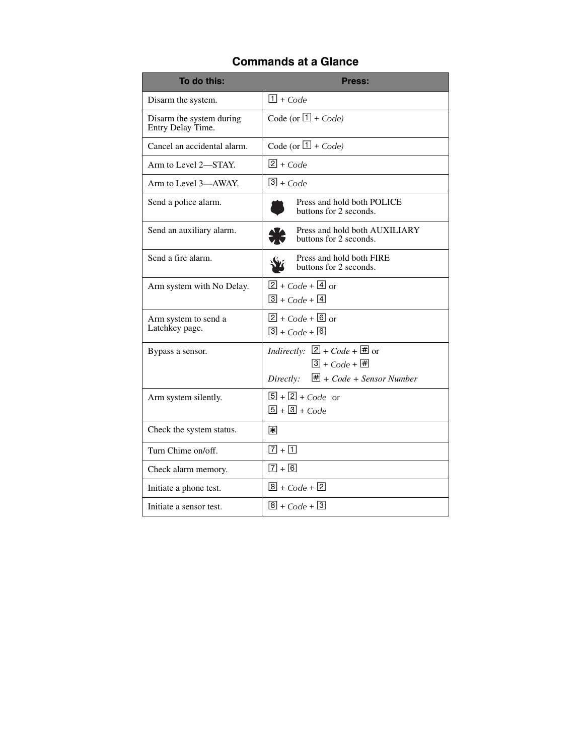### **Commands at a Glance**

| To do this:                                   | Press:                                                                           |
|-----------------------------------------------|----------------------------------------------------------------------------------|
| Disarm the system.                            | $\boxed{1}$ + Code                                                               |
| Disarm the system during<br>Entry Delay Time. | Code (or $\boxed{1}$ + Code)                                                     |
| Cancel an accidental alarm.                   | Code (or $\boxed{1}$ + Code)                                                     |
| Arm to Level 2-STAY.                          | $2 + Code$                                                                       |
| Arm to Level 3-AWAY.                          | $3 + Code$                                                                       |
| Send a police alarm.                          | Press and hold both POLICE<br>buttons for 2 seconds.                             |
| Send an auxiliary alarm.                      | Press and hold both AUXILIARY<br>buttons for 2 seconds.                          |
| Send a fire alarm.                            | Press and hold both FIRE<br>buttons for 2 seconds.                               |
| Arm system with No Delay.                     | $2 + Code + 4$ or<br>$3 + Code + 4$                                              |
| Arm system to send a<br>Latchkey page.        | $2 + Code + 6$ or<br>$\boxed{3}$ + Code + $\boxed{6}$                            |
| Bypass a sensor.                              | Indirectly: $[2] + Code + \overline{\#}$ or<br>$\boxed{3}$ + Code + $\boxed{\#}$ |
|                                               | $\overline{\mathbf{H}}$ + Code + Sensor Number<br>Directly:                      |
| Arm system silently.                          | $\boxed{5}$ + $\boxed{2}$ + Code or<br>$\boxed{5} + \boxed{3} + Code$            |
| Check the system status.                      | 闲                                                                                |
| Turn Chime on/off.                            | $\boxed{7} + \boxed{1}$                                                          |
| Check alarm memory.                           | $\sqrt{7} + \sqrt{6}$                                                            |
| Initiate a phone test.                        | $\boxed{8}$ + Code + $\boxed{2}$                                                 |
| Initiate a sensor test.                       | $\boxed{8}$ + Code + $\boxed{3}$                                                 |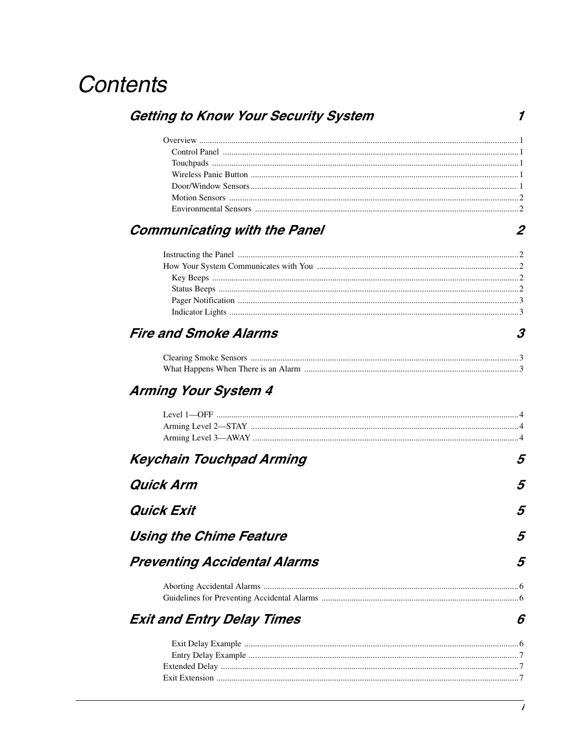## **Contents**

| <b>Getting to Know Your Security System</b> |  |  |
|---------------------------------------------|--|--|
|                                             |  |  |
|                                             |  |  |
|                                             |  |  |
|                                             |  |  |
|                                             |  |  |
|                                             |  |  |
|                                             |  |  |

### **Communicating with the Panel**

### **Fire and Smoke Alarms**

### **Arming Your System 4**

| <b>Keychain Touchpad Arming</b>     | 5 |
|-------------------------------------|---|
| Quick Arm                           | 5 |
| Quick Exit                          | 5 |
| Using the Chime Feature             | 5 |
| <b>Preventing Accidental Alarms</b> | 5 |
|                                     |   |
| <b>Exit and Entry Delay Times</b>   | ĥ |
|                                     |   |

 $\boldsymbol{2}$ 

 $\boldsymbol{\beta}$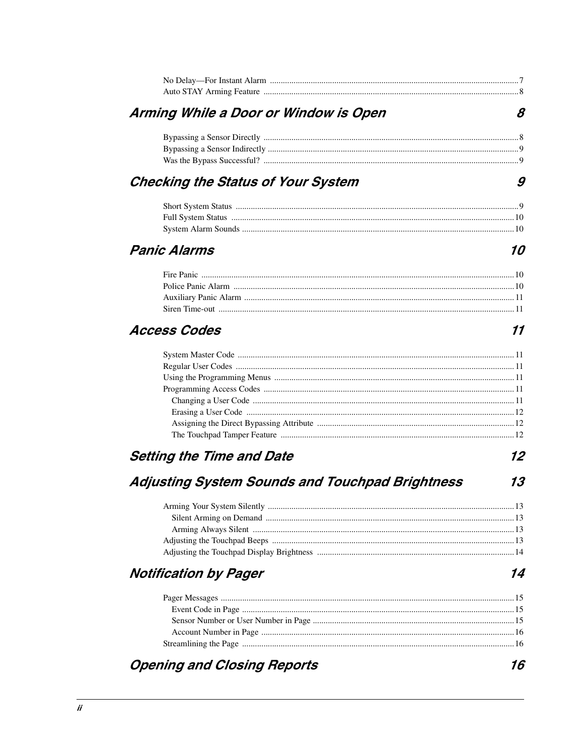| Arming While a Door or Window is Open                  | 8  |
|--------------------------------------------------------|----|
|                                                        |    |
|                                                        |    |
|                                                        |    |
| Checking the Status of Your System                     | 9  |
|                                                        |    |
|                                                        |    |
|                                                        |    |
| <b>Panic Alarms</b>                                    | 10 |
|                                                        |    |
|                                                        |    |
|                                                        |    |
|                                                        |    |
| <b>Access Codes</b>                                    | 11 |
|                                                        |    |
|                                                        |    |
|                                                        |    |
|                                                        |    |
|                                                        |    |
|                                                        |    |
|                                                        |    |
|                                                        |    |
| <b>Setting the Time and Date</b>                       | 12 |
| <b>Adjusting System Sounds and Touchpad Brightness</b> | 13 |
|                                                        |    |
|                                                        |    |
|                                                        |    |
|                                                        |    |
|                                                        |    |
| <b>Notification by Pager</b>                           | 14 |
|                                                        |    |
|                                                        |    |
|                                                        |    |
|                                                        |    |
|                                                        |    |
| <b>Opening and Closing Reports</b>                     | 16 |
|                                                        |    |
|                                                        |    |
|                                                        |    |

#### $\boldsymbol{i}$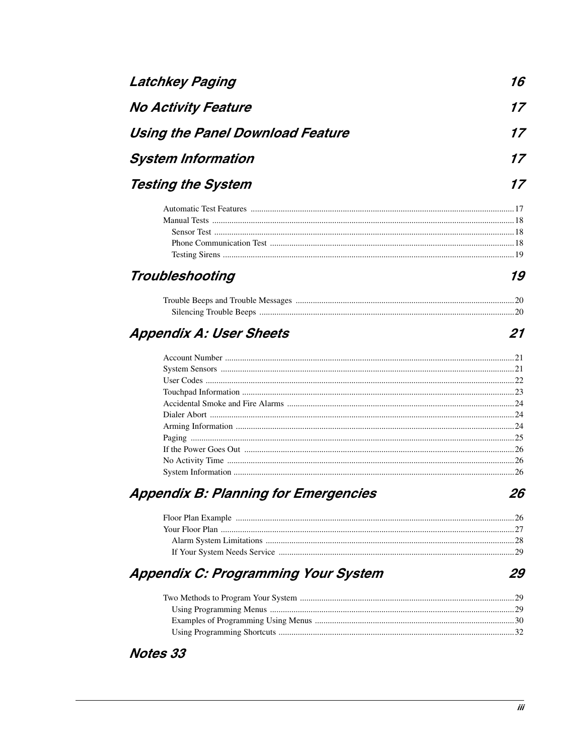| <b>No Activity Feature</b>                  |    |
|---------------------------------------------|----|
| <b>Using the Panel Download Feature</b>     | 17 |
| <b>System Information</b>                   |    |
| <b>Testing the System</b>                   |    |
|                                             |    |
|                                             |    |
|                                             |    |
|                                             |    |
| Troubleshooting                             | 19 |
|                                             |    |
|                                             |    |
| <b>Appendix A: User Sheets</b>              | 21 |
|                                             |    |
|                                             |    |
|                                             |    |
|                                             |    |
|                                             |    |
|                                             |    |
|                                             |    |
|                                             |    |
|                                             |    |
|                                             |    |
| <b>Appendix B: Planning for Emergencies</b> | 26 |
|                                             |    |
|                                             |    |
|                                             |    |
|                                             |    |
|                                             |    |
| <b>Appendix C: Programming Your System</b>  | 29 |
|                                             |    |
|                                             |    |
|                                             |    |

Notes 33

Latchkey Paging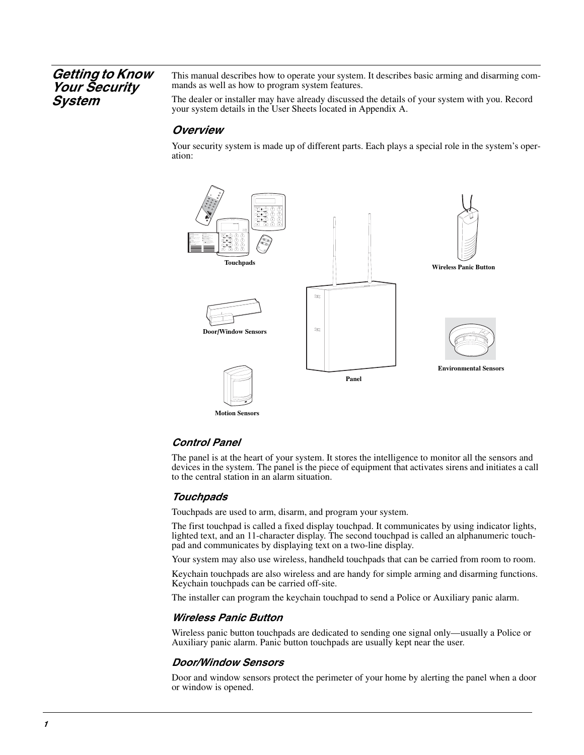#### *Getting to Know Your Security System*

This manual describes how to operate your system. It describes basic arming and disarming commands as well as how to program system features.

The dealer or installer may have already discussed the details of your system with you. Record your system details in the User Sheets located in Appendix A.

#### *Overview*

Your security system is made up of different parts. Each plays a special role in the system's operation:



**Motion Sensors**

#### *Control Panel*

The panel is at the heart of your system. It stores the intelligence to monitor all the sensors and devices in the system. The panel is the piece of equipment that activates sirens and initiates a call to the central station in an alarm situation.

#### *Touchpads*

Touchpads are used to arm, disarm, and program your system.

The first touchpad is called a fixed display touchpad. It communicates by using indicator lights, lighted text, and an 11-character display. The second touchpad is called an alphanumeric touchpad and communicates by displaying text on a two-line display.

Your system may also use wireless, handheld touchpads that can be carried from room to room.

Keychain touchpads are also wireless and are handy for simple arming and disarming functions. Keychain touchpads can be carried off-site.

The installer can program the keychain touchpad to send a Police or Auxiliary panic alarm.

#### *Wireless Panic Button*

Wireless panic button touchpads are dedicated to sending one signal only—usually a Police or Auxiliary panic alarm. Panic button touchpads are usually kept near the user.

#### *Door/Window Sensors*

Door and window sensors protect the perimeter of your home by alerting the panel when a door or window is opened.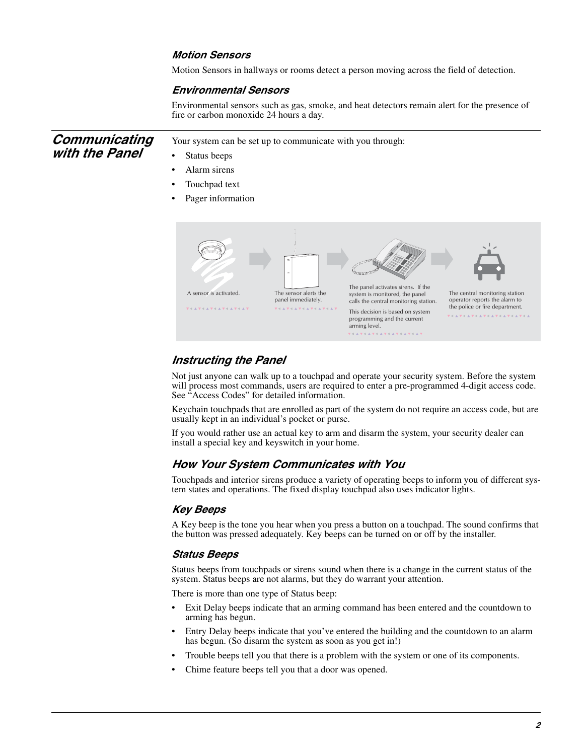#### *Motion Sensors*

Motion Sensors in hallways or rooms detect a person moving across the field of detection.

#### *Environmental Sensors*

Environmental sensors such as gas, smoke, and heat detectors remain alert for the presence of fire or carbon monoxide 24 hours a day.

| Communicating<br>with the Panel | Your system can be set up to communicate with you through:<br>Status beeps<br>$\bullet$<br>Alarm sirens<br>$\bullet$<br>Touchpad text<br>Pager information |                                                                                                                                                        |                                                                                                                                                                                                   |                                                                                                                                                 |
|---------------------------------|------------------------------------------------------------------------------------------------------------------------------------------------------------|--------------------------------------------------------------------------------------------------------------------------------------------------------|---------------------------------------------------------------------------------------------------------------------------------------------------------------------------------------------------|-------------------------------------------------------------------------------------------------------------------------------------------------|
|                                 | A sensor is activated.<br><b>VIAVIAVIAVIAVIAV</b>                                                                                                          | The sensor alerts the<br>panel immediately.<br>$\mathbf{v} + \mathbf{v} + \mathbf{v} + \mathbf{v} + \mathbf{v} + \mathbf{v} + \mathbf{v} + \mathbf{v}$ | The panel activates sirens. If the<br>system is monitored, the panel<br>calls the central monitoring station.<br>This decision is based on system<br>programming and the current<br>arming level. | The central monitoring station<br>operator reports the alarm to<br>the police or fire department.<br><b>V + A V + A V + A V + A V + A V + A</b> |

#### *Instructing the Panel*

Not just anyone can walk up to a touchpad and operate your security system. Before the system will process most commands, users are required to enter a pre-programmed 4-digit access code. See "Access Codes" for detailed information.

Keychain touchpads that are enrolled as part of the system do not require an access code, but are usually kept in an individual's pocket or purse.

If you would rather use an actual key to arm and disarm the system, your security dealer can install a special key and keyswitch in your home.

#### *How Your System Communicates with You*

Touchpads and interior sirens produce a variety of operating beeps to inform you of different system states and operations. The fixed display touchpad also uses indicator lights.

#### *Key Beeps*

A Key beep is the tone you hear when you press a button on a touchpad. The sound confirms that the button was pressed adequately. Key beeps can be turned on or off by the installer.

#### *Status Beeps*

Status beeps from touchpads or sirens sound when there is a change in the current status of the system. Status beeps are not alarms, but they do warrant your attention.

There is more than one type of Status beep:

- Exit Delay beeps indicate that an arming command has been entered and the countdown to arming has begun.
- Entry Delay beeps indicate that you've entered the building and the countdown to an alarm has begun. (So disarm the system as soon as you get in!)
- Trouble beeps tell you that there is a problem with the system or one of its components.
- Chime feature beeps tell you that a door was opened.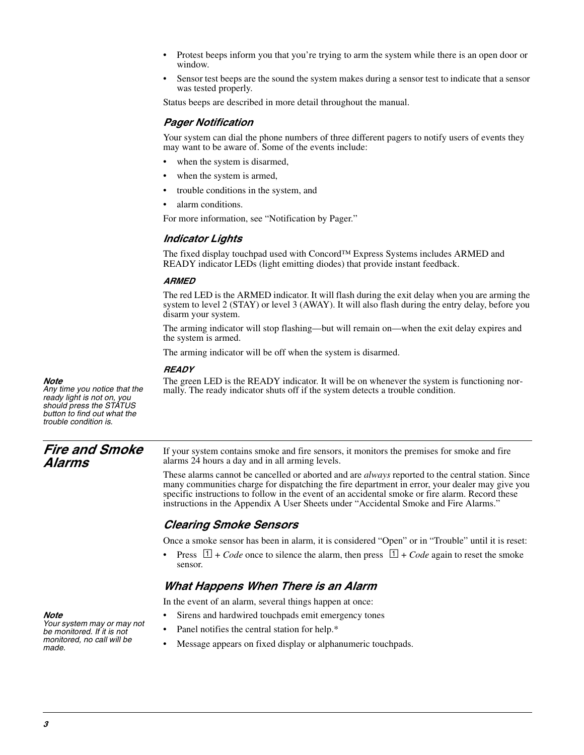- Protest beeps inform you that you're trying to arm the system while there is an open door or window.
- Sensor test beeps are the sound the system makes during a sensor test to indicate that a sensor was tested properly.

Status beeps are described in more detail throughout the manual.

#### *Pager Notification*

Your system can dial the phone numbers of three different pagers to notify users of events they may want to be aware of. Some of the events include:

- when the system is disarmed,
- when the system is armed,
- trouble conditions in the system, and
- alarm conditions.

For more information, see "Notification by Pager."

#### *Indicator Lights*

The fixed display touchpad used with Concord™ Express Systems includes ARMED and READY indicator LEDs (light emitting diodes) that provide instant feedback.

#### *ARMED*

The red LED is the ARMED indicator. It will flash during the exit delay when you are arming the system to level 2 (STAY) or level 3 (AWAY). It will also flash during the entry delay, before you disarm your system.

The arming indicator will stop flashing—but will remain on—when the exit delay expires and the system is armed.

The arming indicator will be off when the system is disarmed.

#### *READY*

The green LED is the READY indicator. It will be on whenever the system is functioning normally. The ready indicator shuts off if the system detects a trouble condition.

*Note* 

*Any time you notice that the ready light is not on, you should press the STATUS button to find out what the trouble condition is.*

#### *Fire and Smoke Alarms*

If your system contains smoke and fire sensors, it monitors the premises for smoke and fire alarms 24 hours a day and in all arming levels.

These alarms cannot be cancelled or aborted and are *always* reported to the central station. Since many communities charge for dispatching the fire department in error, your dealer may give you specific instructions to follow in the event of an accidental smoke or fire alarm. Record these instructions in the Appendix A User Sheets under "Accidental Smoke and Fire Alarms."

#### *Clearing Smoke Sensors*

Once a smoke sensor has been in alarm, it is considered "Open" or in "Trouble" until it is reset:

Press  $\Box$  + *Code* once to silence the alarm, then press  $\Box$  + *Code* again to reset the smoke sensor.

#### *What Happens When There is an Alarm*

In the event of an alarm, several things happen at once:

- Sirens and hardwired touchpads emit emergency tones
- Panel notifies the central station for help.\*
- Message appears on fixed display or alphanumeric touchpads.

#### *Note*

*Your system may or may not be monitored. If it is not monitored, no call will be made.*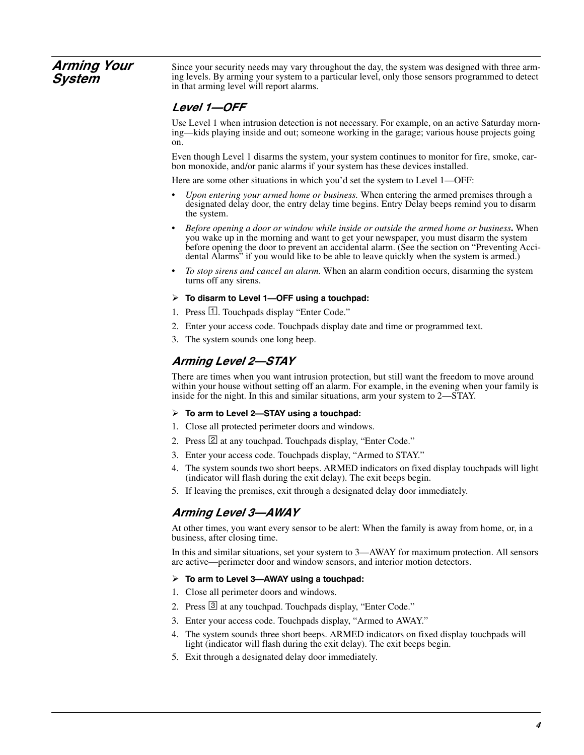#### *Arming Your System*

Since your security needs may vary throughout the day, the system was designed with three arming levels. By arming your system to a particular level, only those sensors programmed to detect in that arming level will report alarms.

#### *Level 1—OFF*

Use Level 1 when intrusion detection is not necessary. For example, on an active Saturday morning—kids playing inside and out; someone working in the garage; various house projects going on.

Even though Level 1 disarms the system, your system continues to monitor for fire, smoke, carbon monoxide, and/or panic alarms if your system has these devices installed.

Here are some other situations in which you'd set the system to Level 1—OFF:

- *Upon entering your armed home or business.* When entering the armed premises through a designated delay door, the entry delay time begins. Entry Delay beeps remind you to disarm the system.
- *Before opening a door or window while inside or outside the armed home or business***.** When you wake up in the morning and want to get your newspaper, you must disarm the system before opening the door to prevent an accidental alarm. (See the section on "Preventing Accidental Alarms" if you would like to be able to leave quickly when the system is armed.)
- *To stop sirens and cancel an alarm.* When an alarm condition occurs, disarming the system turns off any sirens.
- **To disarm to Level 1—OFF using a touchpad:**
- 1. Press  $\Box$ . Touchpads display "Enter Code."
- 2. Enter your access code. Touchpads display date and time or programmed text.
- 3. The system sounds one long beep.

#### *Arming Level 2—STAY*

There are times when you want intrusion protection, but still want the freedom to move around within your house without setting off an alarm. For example, in the evening when your family is inside for the night. In this and similar situations, arm your system to 2—STAY.

#### **To arm to Level 2—STAY using a touchpad:**

- 1. Close all protected perimeter doors and windows.
- 2. Press 2 at any touchpad. Touchpads display, "Enter Code."
- 3. Enter your access code. Touchpads display, "Armed to STAY."
- 4. The system sounds two short beeps. ARMED indicators on fixed display touchpads will light (indicator will flash during the exit delay). The exit beeps begin.
- 5. If leaving the premises, exit through a designated delay door immediately.

#### *Arming Level 3—AWAY*

At other times, you want every sensor to be alert: When the family is away from home, or, in a business, after closing time.

In this and similar situations, set your system to 3—AWAY for maximum protection. All sensors are active—perimeter door and window sensors, and interior motion detectors.

#### **To arm to Level 3—AWAY using a touchpad:**

- 1. Close all perimeter doors and windows.
- 2. Press 3 at any touchpad. Touchpads display, "Enter Code."
- 3. Enter your access code. Touchpads display, "Armed to AWAY."
- 4. The system sounds three short beeps. ARMED indicators on fixed display touchpads will light (indicator will flash during the exit delay). The exit beeps begin.
- 5. Exit through a designated delay door immediately.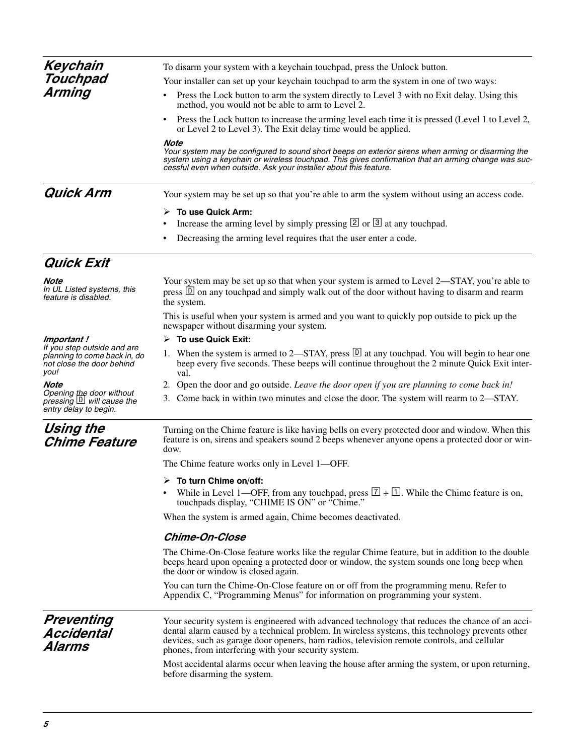| Note<br>In UL Listed systems, this<br>feature is disabled.                                       | Your system may be set up so that when your system is armed to Level 2—STAY, you're able to<br>press $\overline{D}$ on any touchpad and simply walk out of the door without having to disarm and rearm<br>the system.                                                                                                                                   |  |  |
|--------------------------------------------------------------------------------------------------|---------------------------------------------------------------------------------------------------------------------------------------------------------------------------------------------------------------------------------------------------------------------------------------------------------------------------------------------------------|--|--|
|                                                                                                  | This is useful when your system is armed and you want to quickly pop outside to pick up the<br>newspaper without disarming your system.                                                                                                                                                                                                                 |  |  |
| Important !                                                                                      | $\triangleright$ To use Quick Exit:                                                                                                                                                                                                                                                                                                                     |  |  |
| If you step outside and are<br>planning to come back in, do<br>not close the door behind<br>you! | 1. When the system is armed to 2—STAY, press $\overline{D}$ at any touchpad. You will begin to hear one<br>beep every five seconds. These beeps will continue throughout the 2 minute Quick Exit inter-<br>val.                                                                                                                                         |  |  |
| Note                                                                                             | 2. Open the door and go outside. Leave the door open if you are planning to come back in!                                                                                                                                                                                                                                                               |  |  |
| Opening the door without<br>pressing <b>D</b> will cause the<br>entry delay to begin.            | 3. Come back in within two minutes and close the door. The system will rearm to 2—STAY.                                                                                                                                                                                                                                                                 |  |  |
| Using the<br><b>Chime Feature</b>                                                                | Turning on the Chime feature is like having bells on every protected door and window. When this<br>feature is on, sirens and speakers sound 2 beeps whenever anyone opens a protected door or win-<br>dow.                                                                                                                                              |  |  |
|                                                                                                  | The Chime feature works only in Level 1-OFF.                                                                                                                                                                                                                                                                                                            |  |  |
|                                                                                                  | $\triangleright$ To turn Chime on/off:                                                                                                                                                                                                                                                                                                                  |  |  |
|                                                                                                  | While in Level 1—OFF, from any touchpad, press $\boxed{7} + \boxed{1}$ . While the Chime feature is on,<br>٠<br>touchpads display, "CHIME IS ON" or "Chime."                                                                                                                                                                                            |  |  |
|                                                                                                  | When the system is armed again, Chime becomes deactivated.                                                                                                                                                                                                                                                                                              |  |  |
|                                                                                                  | <b>Chime-On-Close</b>                                                                                                                                                                                                                                                                                                                                   |  |  |
|                                                                                                  | The Chime-On-Close feature works like the regular Chime feature, but in addition to the double<br>beeps heard upon opening a protected door or window, the system sounds one long beep when<br>the door or window is closed again.                                                                                                                      |  |  |
|                                                                                                  | You can turn the Chime-On-Close feature on or off from the programming menu. Refer to<br>Appendix C, "Programming Menus" for information on programming your system.                                                                                                                                                                                    |  |  |
| Preventing<br><b>Accidental</b><br>Alarms                                                        | Your security system is engineered with advanced technology that reduces the chance of an acci-<br>dental alarm caused by a technical problem. In wireless systems, this technology prevents other<br>devices, such as garage door openers, ham radios, television remote controls, and cellular<br>phones, from interfering with your security system. |  |  |
|                                                                                                  | Most accidental alarms occur when leaving the house after arming the system, or upon returning,<br>before disarming the system.                                                                                                                                                                                                                         |  |  |
|                                                                                                  |                                                                                                                                                                                                                                                                                                                                                         |  |  |

## *Quick Exit*

*5*

### or Level 2 to Level 3). The Exit delay time would be applied.

#### *Note*

*Your system may be configured to sound short beeps on exterior sirens when arming or disarming the system using a keychain or wireless touchpad. This gives confirmation that an arming change was successful even when outside. Ask your installer about this feature.*

**Quick Arm** Your system may be set up so that you're able to arm the system without using an access code.

#### **To use Quick Arm:**

- Increase the arming level by simply pressing  $[2]$  or  $[3]$  at any touchpad.
- Decreasing the arming level requires that the user enter a code.

*Keychain Touchpad Arming*

To disarm your system with a keychain touchpad, press the Unlock button.

Your installer can set up your keychain touchpad to arm the system in one of two ways:

- Press the Lock button to arm the system directly to Level 3 with no Exit delay. Using this method, you would not be able to arm to Level 2.
- Press the Lock button to increase the arming level each time it is pressed (Level 1 to Level 2,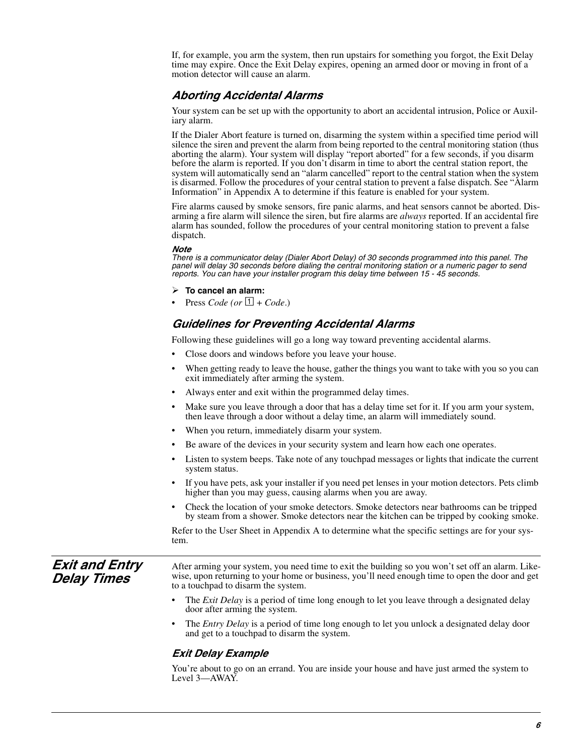If, for example, you arm the system, then run upstairs for something you forgot, the Exit Delay time may expire. Once the Exit Delay expires, opening an armed door or moving in front of a motion detector will cause an alarm.

#### *Aborting Accidental Alarms*

Your system can be set up with the opportunity to abort an accidental intrusion, Police or Auxiliary alarm.

If the Dialer Abort feature is turned on, disarming the system within a specified time period will silence the siren and prevent the alarm from being reported to the central monitoring station (thus aborting the alarm). Your system will display "report aborted" for a few seconds, if you disarm before the alarm is reported. If you don't disarm in time to abort the central station report, the system will automatically send an "alarm cancelled" report to the central station when the system is disarmed. Follow the procedures of your central station to prevent a false dispatch. See "Alarm Information" in Appendix A to determine if this feature is enabled for your system.

Fire alarms caused by smoke sensors, fire panic alarms, and heat sensors cannot be aborted. Disarming a fire alarm will silence the siren, but fire alarms are *always* reported. If an accidental fire alarm has sounded, follow the procedures of your central monitoring station to prevent a false dispatch.

#### *Note*

*There is a communicator delay (Dialer Abort Delay) of 30 seconds programmed into this panel. The panel will delay 30 seconds before dialing the central monitoring station or a numeric pager to send reports. You can have your installer program this delay time between 15 - 45 seconds.* 

- **To cancel an alarm:**
- Press *Code* (or  $\boxed{1}$  + *Code*.)

#### *Guidelines for Preventing Accidental Alarms*

Following these guidelines will go a long way toward preventing accidental alarms.

- Close doors and windows before you leave your house.
- When getting ready to leave the house, gather the things you want to take with you so you can exit immediately after arming the system.
- Always enter and exit within the programmed delay times.
- Make sure you leave through a door that has a delay time set for it. If you arm your system, then leave through a door without a delay time, an alarm will immediately sound.
- When you return, immediately disarm your system.
- Be aware of the devices in your security system and learn how each one operates.
- Listen to system beeps. Take note of any touchpad messages or lights that indicate the current system status.
- If you have pets, ask your installer if you need pet lenses in your motion detectors. Pets climb higher than you may guess, causing alarms when you are away.
- Check the location of your smoke detectors. Smoke detectors near bathrooms can be tripped by steam from a shower. Smoke detectors near the kitchen can be tripped by cooking smoke.

Refer to the User Sheet in Appendix A to determine what the specific settings are for your system.

*Exit and Entry Delay Times*

After arming your system, you need time to exit the building so you won't set off an alarm. Likewise, upon returning to your home or business, you'll need enough time to open the door and get to a touchpad to disarm the system.

- The *Exit Delay* is a period of time long enough to let you leave through a designated delay door after arming the system.
- The *Entry Delay* is a period of time long enough to let you unlock a designated delay door and get to a touchpad to disarm the system.

#### *Exit Delay Example*

You're about to go on an errand. You are inside your house and have just armed the system to Level 3—AWAY.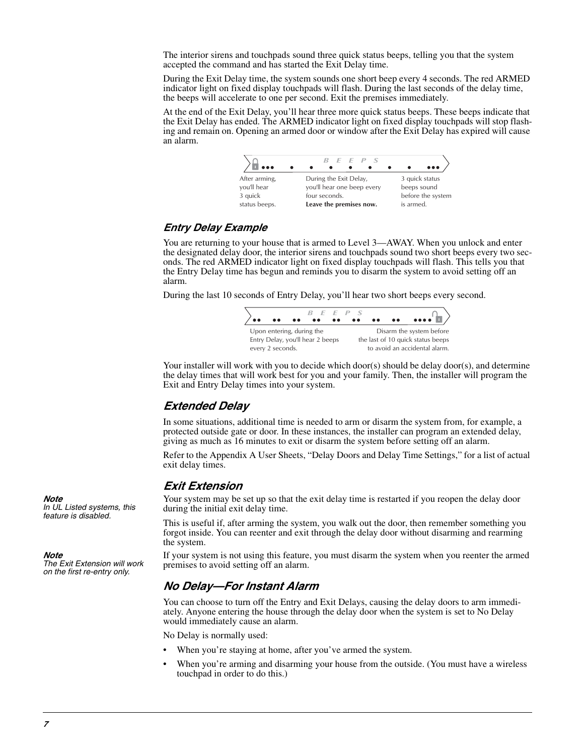The interior sirens and touchpads sound three quick status beeps, telling you that the system accepted the command and has started the Exit Delay time.

During the Exit Delay time, the system sounds one short beep every 4 seconds. The red ARMED indicator light on fixed display touchpads will flash. During the last seconds of the delay time, the beeps will accelerate to one per second. Exit the premises immediately.

At the end of the Exit Delay, you'll hear three more quick status beeps. These beeps indicate that the Exit Delay has ended. The ARMED indicator light on fixed display touchpads will stop flashing and remain on. Opening an armed door or window after the Exit Delay has expired will cause an alarm.

|               | B E E P S                  | $\bullet\bullet\bullet$ |
|---------------|----------------------------|-------------------------|
| After arming, | During the Exit Delay,     | 3 quick status          |
| you'll hear   | you'll hear one beep every | beeps sound             |
| 3 quick       | four seconds.              | before the systen       |
| status beeps. | Leave the premises now.    | is armed.               |

#### *Entry Delay Example*

You are returning to your house that is armed to Level 3—AWAY. When you unlock and enter the designated delay door, the interior sirens and touchpads sound two short beeps every two seconds. The red ARMED indicator light on fixed display touchpads will flash. This tells you that the Entry Delay time has begun and reminds you to disarm the system to avoid setting off an alarm.

During the last 10 seconds of Entry Delay, you'll hear two short beeps every second.



Your installer will work with you to decide which door(s) should be delay door(s), and determine the delay times that will work best for you and your family. Then, the installer will program the Exit and Entry Delay times into your system.

#### *Extended Delay*

In some situations, additional time is needed to arm or disarm the system from, for example, a protected outside gate or door. In these instances, the installer can program an extended delay, giving as much as 16 minutes to exit or disarm the system before setting off an alarm.

Refer to the Appendix A User Sheets, "Delay Doors and Delay Time Settings," for a list of actual exit delay times.

#### *Exit Extension*

Your system may be set up so that the exit delay time is restarted if you reopen the delay door during the initial exit delay time.

This is useful if, after arming the system, you walk out the door, then remember something you forgot inside. You can reenter and exit through the delay door without disarming and rearming the system.

If your system is not using this feature, you must disarm the system when you reenter the armed premises to avoid setting off an alarm.

#### *No Delay—For Instant Alarm*

You can choose to turn off the Entry and Exit Delays, causing the delay doors to arm immediately. Anyone entering the house through the delay door when the system is set to No Delay would immediately cause an alarm.

No Delay is normally used:

- When you're staying at home, after you've armed the system.
- When you're arming and disarming your house from the outside. (You must have a wireless touchpad in order to do this.)

*Note In UL Listed systems, this feature is disabled.*

*Note* 

*The Exit Extension will work on the first re-entry only.*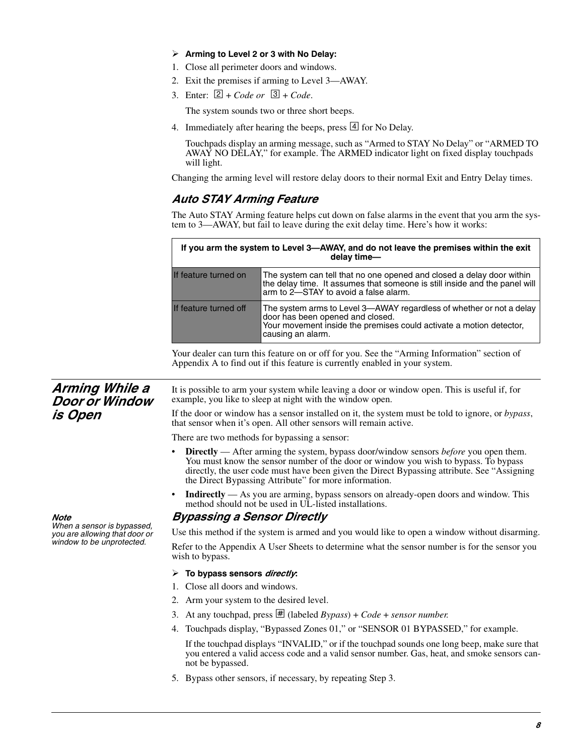#### **Arming to Level 2 or 3 with No Delay:**

- 1. Close all perimeter doors and windows.
- 2. Exit the premises if arming to Level 3—AWAY.
- 3. Enter:  $[2] + Code \textit{ or } 3] + Code.$

The system sounds two or three short beeps.

4. Immediately after hearing the beeps, press  $\boxed{4}$  for No Delay.

Touchpads display an arming message, such as "Armed to STAY No Delay" or "ARMED TO AWAY NO DELAY," for example. The ARMED indicator light on fixed display touchpads will light.

Changing the arming level will restore delay doors to their normal Exit and Entry Delay times.

#### *Auto STAY Arming Feature*

The Auto STAY Arming feature helps cut down on false alarms in the event that you arm the system to 3—AWAY, but fail to leave during the exit delay time. Here's how it works:

| If you arm the system to Level 3—AWAY, and do not leave the premises within the exit<br>delay time- |                                                                                                                                                                                                      |  |
|-----------------------------------------------------------------------------------------------------|------------------------------------------------------------------------------------------------------------------------------------------------------------------------------------------------------|--|
| If feature turned on                                                                                | The system can tell that no one opened and closed a delay door within<br>the delay time. It assumes that someone is still inside and the panel will<br>arm to 2-STAY to avoid a false alarm.         |  |
| If feature turned off                                                                               | The system arms to Level 3-AWAY regardless of whether or not a delay<br>door has been opened and closed.<br>Your movement inside the premises could activate a motion detector,<br>causing an alarm. |  |

Your dealer can turn this feature on or off for you. See the "Arming Information" section of Appendix A to find out if this feature is currently enabled in your system.

### *Arming While a Door or Window is Open*

It is possible to arm your system while leaving a door or window open. This is useful if, for example, you like to sleep at night with the window open.

If the door or window has a sensor installed on it, the system must be told to ignore, or *bypass*, that sensor when it's open. All other sensors will remain active.

There are two methods for bypassing a sensor:

- **Directly**  After arming the system, bypass door/window sensors *before* you open them. You must know the sensor number of the door or window you wish to bypass. To bypass directly, the user code must have been given the Direct Bypassing attribute. See "Assigning the Direct Bypassing Attribute" for more information.
- **Indirectly** As you are arming, bypass sensors on already-open doors and window. This method should not be used in UL-listed installations.

#### *Bypassing a Sensor Directly*

Use this method if the system is armed and you would like to open a window without disarming. Refer to the Appendix A User Sheets to determine what the sensor number is for the sensor you wish to bypass.

#### **To bypass sensors** *directly***:**

- 1. Close all doors and windows.
- 2. Arm your system to the desired level.
- 3. At any touchpad, press  $\overline{\mathbb{H}}$  (labeled *Bypass*) + *Code* + *sensor number.*
- 4. Touchpads display, "Bypassed Zones 01," or "SENSOR 01 BYPASSED," for example.

If the touchpad displays "INVALID," or if the touchpad sounds one long beep, make sure that you entered a valid access code and a valid sensor number. Gas, heat, and smoke sensors cannot be bypassed.

5. Bypass other sensors, if necessary, by repeating Step 3.

#### *Note*

*When a sensor is bypassed, you are allowing that door or window to be unprotected.*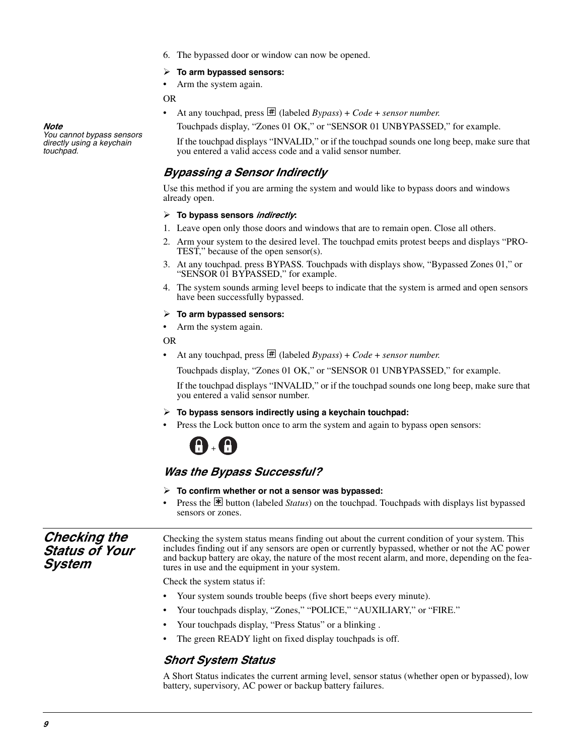6. The bypassed door or window can now be opened.

#### **To arm bypassed sensors:**

Arm the system again.

OR

At any touchpad, press  $\overline{\mathcal{H}}$  (labeled *Bypass*) + *Code* + *sensor number.* 

Touchpads display, "Zones 01 OK," or "SENSOR 01 UNBYPASSED," for example.

If the touchpad displays "INVALID," or if the touchpad sounds one long beep, make sure that you entered a valid access code and a valid sensor number.

#### *Bypassing a Sensor Indirectly*

Use this method if you are arming the system and would like to bypass doors and windows already open.

#### **To bypass sensors** *indirectly***:**

- 1. Leave open only those doors and windows that are to remain open. Close all others.
- 2. Arm your system to the desired level. The touchpad emits protest beeps and displays "PRO-TEST," because of the open sensor(s).
- 3. At any touchpad. press BYPASS*.* Touchpads with displays show, "Bypassed Zones 01," or "SENSOR 01 BYPASSED," for example.
- 4. The system sounds arming level beeps to indicate that the system is armed and open sensors have been successfully bypassed.

#### **To arm bypassed sensors:**

Arm the system again.

#### OR

• At any touchpad, press  $\#$  (labeled *Bypass*) + *Code* + *sensor number.* 

Touchpads display, "Zones 01 OK," or "SENSOR 01 UNBYPASSED," for example.

If the touchpad displays "INVALID," or if the touchpad sounds one long beep, make sure that you entered a valid sensor number.

- **To bypass sensors indirectly using a keychain touchpad:**
- Press the Lock button once to arm the system and again to bypass open sensors:

## +

#### *Was the Bypass Successful?*

- **To confirm whether or not a sensor was bypassed:**
- Press the  $\overline{\mathbb{F}}$  button (labeled *Status*) on the touchpad. Touchpads with displays list bypassed sensors or zones.

*Checking the Status of Your System*  Checking the system status means finding out about the current condition of your system. This includes finding out if any sensors are open or currently bypassed, whether or not the AC power and backup battery are okay, the nature of the most recent alarm, and more, depending on the features in use and the equipment in your system. Check the system status if:

- Your system sounds trouble beeps (five short beeps every minute).
- Your touchpads display, "Zones," "POLICE," "AUXILIARY," or "FIRE."
- Your touchpads display, "Press Status" or a blinking .
- The green READY light on fixed display touchpads is off.

#### *Short System Status*

A Short Status indicates the current arming level, sensor status (whether open or bypassed), low battery, supervisory, AC power or backup battery failures.

*Note* 

*You cannot bypass sensors directly using a keychain touchpad.*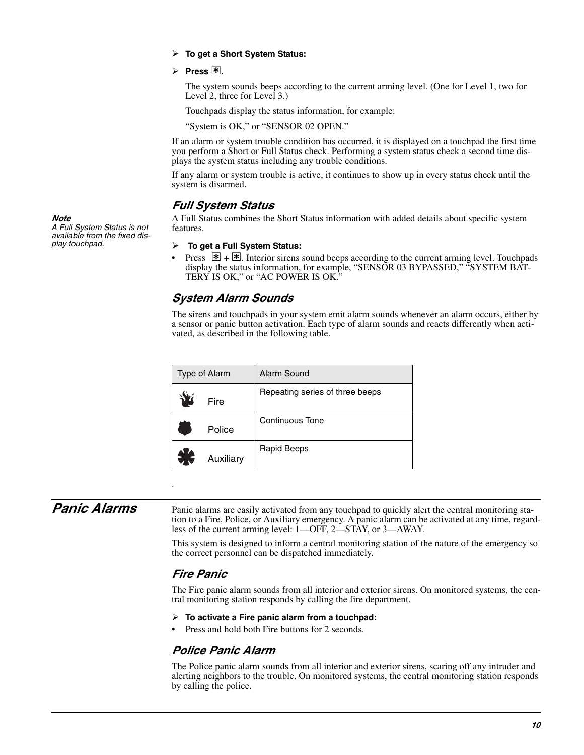#### **To get a Short System Status:**

 $\triangleright$  Press  $\mathbb{F}$ .

The system sounds beeps according to the current arming level. (One for Level 1, two for Level 2, three for Level 3.)

Touchpads display the status information, for example:

"System is OK," or "SENSOR 02 OPEN."

If an alarm or system trouble condition has occurred, it is displayed on a touchpad the first time you perform a Short or Full Status check. Performing a system status check a second time displays the system status including any trouble conditions.

If any alarm or system trouble is active, it continues to show up in every status check until the system is disarmed.

#### *Full System Status*

A Full Status combines the Short Status information with added details about specific system features.

 **To get a Full System Status:**

• Press  $\mathbb{F}$  +  $\mathbb{F}$ . Interior sirens sound beeps according to the current arming level. Touchpads display the status information, for example, "SENSOR 03 BYPASSED," "SYSTEM BAT-TERY IS OK," or "AC POWER IS OK."

#### <span id="page-16-0"></span>*System Alarm Sounds*

The sirens and touchpads in your system emit alarm sounds whenever an alarm occurs, either by a sensor or panic button activation. Each type of alarm sounds and reacts differently when activated, as described in the following table.

| Type of Alarm | <b>Alarm Sound</b>              |
|---------------|---------------------------------|
| Fire          | Repeating series of three beeps |
| Police        | <b>Continuous Tone</b>          |
| Auxiliary     | <b>Rapid Beeps</b>              |

*Panic Alarms* Panic alarms are easily activated from any touchpad to quickly alert the central monitoring station to a Fire, Police, or Auxiliary emergency. A panic alarm can be activated at any time, regardless of the current arming level: 1—OFF, 2—STAY, or 3—AWAY.

> This system is designed to inform a central monitoring station of the nature of the emergency so the correct personnel can be dispatched immediately.

#### *Fire Panic*

.

The Fire panic alarm sounds from all interior and exterior sirens. On monitored systems, the central monitoring station responds by calling the fire department.

- **To activate a Fire panic alarm from a touchpad:**
- Press and hold both Fire buttons for 2 seconds.

#### *Police Panic Alarm*

The Police panic alarm sounds from all interior and exterior sirens, scaring off any intruder and alerting neighbors to the trouble. On monitored systems, the central monitoring station responds by calling the police.

*Note A Full System Status is not available from the fixed display touchpad.*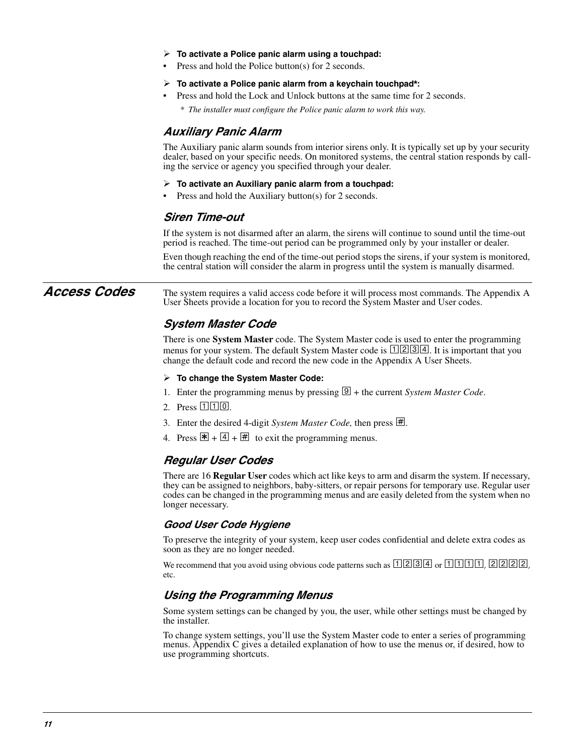- **To activate a Police panic alarm using a touchpad:**
- Press and hold the Police button(s) for 2 seconds.
- **To activate a Police panic alarm from a keychain touchpad\*:**
- Press and hold the Lock and Unlock buttons at the same time for 2 seconds.

*\* The installer must configure the Police panic alarm to work this way.*

#### *Auxiliary Panic Alarm*

The Auxiliary panic alarm sounds from interior sirens only. It is typically set up by your security dealer, based on your specific needs. On monitored systems, the central station responds by calling the service or agency you specified through your dealer.

#### **To activate an Auxiliary panic alarm from a touchpad:**

Press and hold the Auxiliary button(s) for 2 seconds.

#### *Siren Time-out*

If the system is not disarmed after an alarm, the sirens will continue to sound until the time-out period is reached. The time-out period can be programmed only by your installer or dealer.

Even though reaching the end of the time-out period stops the sirens, if your system is monitored, the central station will consider the alarm in progress until the system is manually disarmed.

Access Codes The system requires a valid access code before it will process most commands. The Appendix A User Sheets provide a location for you to record the System Master and User codes.

#### *System Master Code*

There is one **System Master** code. The System Master code is used to enter the programming menus for your system. The default System Master code is  $\boxed{1234}$ . It is important that you change the default code and record the new code in the Appendix A User Sheets.

#### **To change the System Master Code:**

- 1. Enter the programming menus by pressing  $\mathcal{D}$  + the current *System Master Code*.
- 2. Press  $110$ .
- 3. Enter the desired 4-digit *System Master Code*, then press  $\vert \# \vert$ .
- 4. Press  $\mathbb{F} + \boxed{4} + \boxed{4}$  to exit the programming menus.

#### *Regular User Codes*

There are 16 **Regular User** codes which act like keys to arm and disarm the system. If necessary, they can be assigned to neighbors, baby-sitters, or repair persons for temporary use. Regular user codes can be changed in the programming menus and are easily deleted from the system when no longer necessary.

#### *Good User Code Hygiene*

To preserve the integrity of your system, keep user codes confidential and delete extra codes as soon as they are no longer needed.

We recommend that you avoid using obvious code patterns such as  $\Box$ [2][3][4] or  $\Box$ [1][1][1][1], [2][2][2][2]. etc.

#### *Using the Programming Menus*

Some system settings can be changed by you, the user, while other settings must be changed by the installer.

To change system settings, you'll use the System Master code to enter a series of programming menus. Appendix C gives a detailed explanation of how to use the menus or, if desired, how to use programming shortcuts.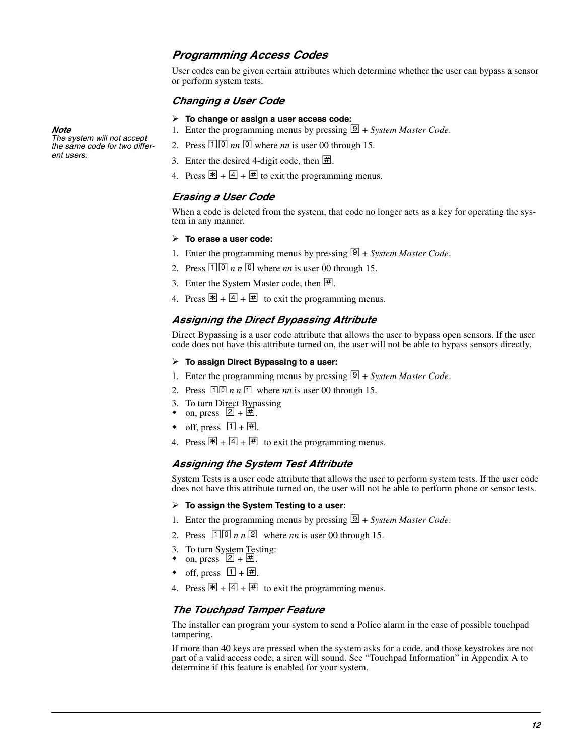#### *Programming Access Codes*

User codes can be given certain attributes which determine whether the user can bypass a sensor or perform system tests.

#### *Changing a User Code*

#### **To change or assign a user access code:**

- 1. Enter the programming menus by pressing  $\boxed{9}$  + *System Master Code*.
- 2. Press  $\boxed{10}$  *nn*  $\boxed{0}$  where *nn* is user 00 through 15.
- 3. Enter the desired 4-digit code, then  $\vert \# \vert$ .
- 4. Press  $\mathbb{F} + \boxed{4} + \boxed{4}$  to exit the programming menus.

#### *Erasing a User Code*

When a code is deleted from the system, that code no longer acts as a key for operating the system in any manner.

#### **To erase a user code:**

- 1. Enter the programming menus by pressing  $\boxed{9}$  + *System Master Code*.
- 2. Press  $\boxed{10}$  *n n*  $\boxed{0}$  where *nn* is user 00 through 15.
- 3. Enter the System Master code, then  $\overline{\mathbb{H}}$ .
- 4. Press  $\mathbb{F} + 4 + \mathbb{H}$  to exit the programming menus.

#### *Assigning the Direct Bypassing Attribute*

Direct Bypassing is a user code attribute that allows the user to bypass open sensors. If the user code does not have this attribute turned on, the user will not be able to bypass sensors directly.

#### **To assign Direct Bypassing to a user:**

- 1. Enter the programming menus by pressing  $\boxed{9}$  + *System Master Code*.
- 2. Press  $\boxed{10}$  *n n*  $\boxed{1}$  where *nn* is user 00 through 15.
- 3. To turn Direct Bypassing
- on, press  $\boxed{2 + \boxed{\#}}$ .
- off, press  $\boxed{1} + \boxed{\#}$ .
- 4. Press  $\mathbb{F} + \boxed{4} + \boxed{4}$  to exit the programming menus.

#### *Assigning the System Test Attribute*

System Tests is a user code attribute that allows the user to perform system tests. If the user code does not have this attribute turned on, the user will not be able to perform phone or sensor tests.

#### **To assign the System Testing to a user:**

- 1. Enter the programming menus by pressing  $\mathcal{Q}$  + *System Master Code*.
- 2. Press  $\boxed{1}\boxed{0}$  *n n*  $\boxed{2}$  where *nn* is user 00 through 15.
- 3. To turn System Testing:
- on, press  $\boxed{2 + \boxed{4}}$ .
- off, press  $\boxed{1} + \boxed{\#}$ .
- 4. Press  $\mathbb{F} + \boxed{4} + \boxed{4}$  to exit the programming menus.

#### *The Touchpad Tamper Feature*

The installer can program your system to send a Police alarm in the case of possible touchpad tampering.

If more than 40 keys are pressed when the system asks for a code, and those keystrokes are not part of a valid access code, a siren will sound. See "Touchpad Information" in Appendix A to determine if this feature is enabled for your system.

#### *Note*

*The system will not accept the same code for two different users.*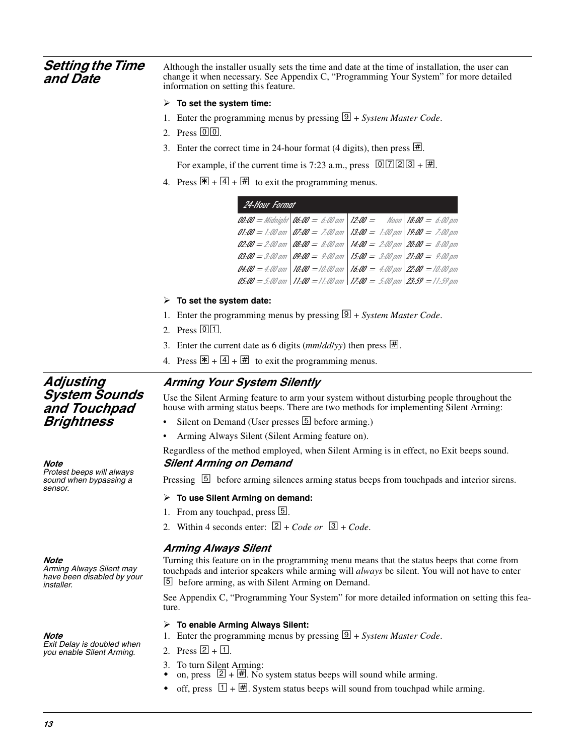| <b>Setting the Time</b><br>and Date                                                                                                                                                                                                                                                                                                                                                                                                                                              | Although the installer usually sets the time and date at the time of installation, the user can<br>change it when necessary. See Appendix C, "Programming Your System" for more detailed<br>information on setting this feature. |  |  |
|----------------------------------------------------------------------------------------------------------------------------------------------------------------------------------------------------------------------------------------------------------------------------------------------------------------------------------------------------------------------------------------------------------------------------------------------------------------------------------|----------------------------------------------------------------------------------------------------------------------------------------------------------------------------------------------------------------------------------|--|--|
|                                                                                                                                                                                                                                                                                                                                                                                                                                                                                  | $\triangleright$ To set the system time:                                                                                                                                                                                         |  |  |
|                                                                                                                                                                                                                                                                                                                                                                                                                                                                                  | 1. Enter the programming menus by pressing $\boxed{\mathcal{D}}$ + System Master Code.                                                                                                                                           |  |  |
|                                                                                                                                                                                                                                                                                                                                                                                                                                                                                  | 2. Press $\boxed{0}$ $\boxed{0}$ .                                                                                                                                                                                               |  |  |
|                                                                                                                                                                                                                                                                                                                                                                                                                                                                                  | 3. Enter the correct time in 24-hour format (4 digits), then press $\sharp$ .                                                                                                                                                    |  |  |
|                                                                                                                                                                                                                                                                                                                                                                                                                                                                                  | For example, if the current time is 7:23 a.m., press $\boxed{0}$ [7] [2] [3] + [#].                                                                                                                                              |  |  |
|                                                                                                                                                                                                                                                                                                                                                                                                                                                                                  | 4. Press $\overline{\mathbb{F}}$ + $\overline{4}$ + $\overline{\mathbb{H}}$ to exit the programming menus.                                                                                                                       |  |  |
|                                                                                                                                                                                                                                                                                                                                                                                                                                                                                  | 24-Hour Format                                                                                                                                                                                                                   |  |  |
|                                                                                                                                                                                                                                                                                                                                                                                                                                                                                  | $00:00 =$ Midnight $06:00 = 6:00$ am $12:00 =$ Noon $18:00 = 6:00$ pm                                                                                                                                                            |  |  |
|                                                                                                                                                                                                                                                                                                                                                                                                                                                                                  | $01:00 = 1:00$ am $07:00 = 7:00$ am $13:00 = 1:00$ pm $19:00 = 7:00$ pm                                                                                                                                                          |  |  |
|                                                                                                                                                                                                                                                                                                                                                                                                                                                                                  | 02:00 = 2:00 am   08:00 = 8:00 am   14:00 = 2:00 pm   20:00 = 8:00 pm                                                                                                                                                            |  |  |
|                                                                                                                                                                                                                                                                                                                                                                                                                                                                                  | $\mathit{03:00} = 3:00$ am $\mathit{09:00} = 9:00$ am $15:00 = 3:00$ pm $21:00 = 9:00$ pm                                                                                                                                        |  |  |
|                                                                                                                                                                                                                                                                                                                                                                                                                                                                                  | $04.00 = 4.00$ am   10:00 = 10:00 am   16:00 = 4:00 pm   22:00 = 10:00 pm<br>$0.05 = 5.00$ am   11:00 = 11:00 am   17:00 = 5:00 pm   23:59 = 11:59 pm                                                                            |  |  |
|                                                                                                                                                                                                                                                                                                                                                                                                                                                                                  |                                                                                                                                                                                                                                  |  |  |
|                                                                                                                                                                                                                                                                                                                                                                                                                                                                                  | $\triangleright$ To set the system date:                                                                                                                                                                                         |  |  |
|                                                                                                                                                                                                                                                                                                                                                                                                                                                                                  | 1. Enter the programming menus by pressing $\boxed{\mathcal{Q}}$ + <i>System Master Code</i> .                                                                                                                                   |  |  |
|                                                                                                                                                                                                                                                                                                                                                                                                                                                                                  | 2. Press $[0]$ .                                                                                                                                                                                                                 |  |  |
|                                                                                                                                                                                                                                                                                                                                                                                                                                                                                  | 3. Enter the current date as 6 digits ( $mm/dd/yy$ ) then press $\pm$ .                                                                                                                                                          |  |  |
|                                                                                                                                                                                                                                                                                                                                                                                                                                                                                  | 4. Press $\mathbb{F} + \boxed{4} + \boxed{4}$ to exit the programming menus.                                                                                                                                                     |  |  |
| Adjusting                                                                                                                                                                                                                                                                                                                                                                                                                                                                        | <b>Arming Your System Silently</b>                                                                                                                                                                                               |  |  |
| <b>System Sounds</b><br>and Touchpad                                                                                                                                                                                                                                                                                                                                                                                                                                             | Use the Silent Arming feature to arm your system without disturbing people throughout the<br>house with arming status beeps. There are two methods for implementing Silent Arming:                                               |  |  |
| Brightness                                                                                                                                                                                                                                                                                                                                                                                                                                                                       | Silent on Demand (User presses 5 before arming.)                                                                                                                                                                                 |  |  |
|                                                                                                                                                                                                                                                                                                                                                                                                                                                                                  | Arming Always Silent (Silent Arming feature on).                                                                                                                                                                                 |  |  |
| Note                                                                                                                                                                                                                                                                                                                                                                                                                                                                             | Regardless of the method employed, when Silent Arming is in effect, no Exit beeps sound.<br><b>Silent Arming on Demand</b>                                                                                                       |  |  |
| Protest beeps will always<br>sound when bypassing a<br>sensor.                                                                                                                                                                                                                                                                                                                                                                                                                   | Pressing 5 before arming silences arming status beeps from touchpads and interior sirens.                                                                                                                                        |  |  |
|                                                                                                                                                                                                                                                                                                                                                                                                                                                                                  | $\triangleright$ To use Silent Arming on demand:                                                                                                                                                                                 |  |  |
|                                                                                                                                                                                                                                                                                                                                                                                                                                                                                  | 1. From any touchpad, press [5].                                                                                                                                                                                                 |  |  |
|                                                                                                                                                                                                                                                                                                                                                                                                                                                                                  | 2. Within 4 seconds enter: $2 + Code$ or $3 + Code$ .                                                                                                                                                                            |  |  |
| <b>Arming Always Silent</b><br>Turning this feature on in the programming menu means that the status beeps that come from<br>Note<br>Arming Always Silent may<br>touchpads and interior speakers while arming will <i>always</i> be silent. You will not have to enter<br>have been disabled by your<br>[5] before arming, as with Silent Arming on Demand.<br><i>installer.</i><br>See Appendix C, "Programming Your System" for more detailed information on setting this fea- |                                                                                                                                                                                                                                  |  |  |
|                                                                                                                                                                                                                                                                                                                                                                                                                                                                                  | ture.                                                                                                                                                                                                                            |  |  |
|                                                                                                                                                                                                                                                                                                                                                                                                                                                                                  | $\triangleright$ To enable Arming Always Silent:                                                                                                                                                                                 |  |  |
| Note<br>Exit Delay is doubled when                                                                                                                                                                                                                                                                                                                                                                                                                                               | 1. Enter the programming menus by pressing $\boxed{\mathcal{Q}}$ + <i>System Master Code</i> .                                                                                                                                   |  |  |
| you enable Silent Arming.                                                                                                                                                                                                                                                                                                                                                                                                                                                        | 2. Press $[2] + [1]$ .                                                                                                                                                                                                           |  |  |

- 3. To turn Silent Arming:
- on, press  $[2] + \mathbb{H}$ . No system status beeps will sound while arming.
- off, press  $\Box$  +  $\overline{\boxplus}$ . System status beeps will sound from touchpad while arming.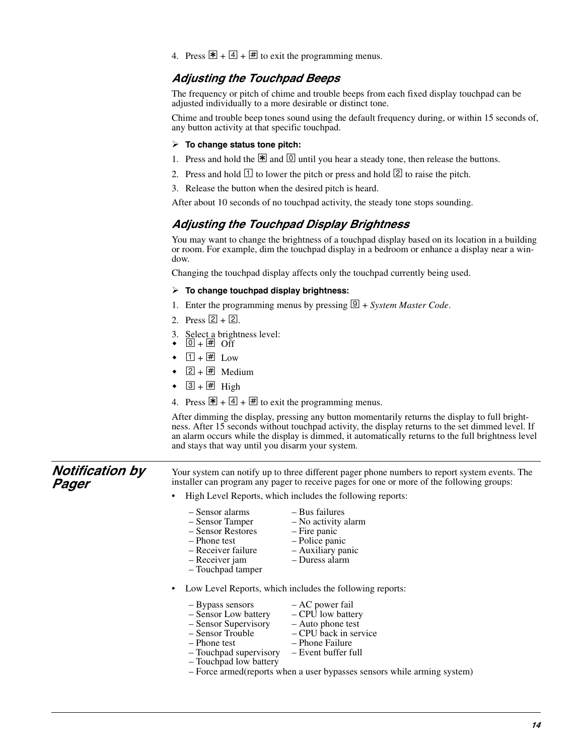4. Press  $\mathbb{F} + 4 + \mathbb{F}$  to exit the programming menus.

#### *Adjusting the Touchpad Beeps*

The frequency or pitch of chime and trouble beeps from each fixed display touchpad can be adjusted individually to a more desirable or distinct tone.

Chime and trouble beep tones sound using the default frequency during, or within 15 seconds of, any button activity at that specific touchpad.

- **To change status tone pitch:**
- 1. Press and hold the  $\mathbb{R}$  and  $\boxed{0}$  until you hear a steady tone, then release the buttons.
- 2. Press and hold  $\Box$  to lower the pitch or press and hold  $\Box$  to raise the pitch.
- 3. Release the button when the desired pitch is heard.

After about 10 seconds of no touchpad activity, the steady tone stops sounding.

#### *Adjusting the Touchpad Display Brightness*

You may want to change the brightness of a touchpad display based on its location in a building or room. For example, dim the touchpad display in a bedroom or enhance a display near a window.

Changing the touchpad display affects only the touchpad currently being used.

#### **To change touchpad display brightness:**

- 1. Enter the programming menus by pressing  $\boxed{9}$  + *System Master Code*.
- 2. Press  $[2] + [2]$ .
- 3. Select a brightness level:<br>  $\bullet$  0 +  $\overline{\text{H}}$  Off
- $\bullet$
- $\bullet$   $\boxed{1} + \boxed{\#}$  Low
- $\bullet$  2 +  $\overline{H}$  Medium
- $\bullet$  3 +  $\overline{H}$  High

*Pager*

4. Press  $\mathbb{F} + 4 + \mathbb{F}$  to exit the programming menus.

After dimming the display, pressing any button momentarily returns the display to full brightness. After 15 seconds without touchpad activity, the display returns to the set dimmed level. If an alarm occurs while the display is dimmed, it automatically returns to the full brightness level and stays that way until you disarm your system.

*Notification by*  Your system can notify up to three different pager phone numbers to report system events. The installer can program any pager to receive pages for one or more of the following groups:

- High Level Reports, which includes the following reports:
	-
	- Sensor alarms Bus failures
		- No activity alarm<br>– Fire panic

– Police panic

- Sensor Restores<br>– Phone test
- 
- Receiver failure Auxiliary panic – Receiver jam
- Touchpad tamper
- Low Level Reports, which includes the following reports:
	-
	- Bypass sensors AC power fail<br>– Sensor Low battery CPU low battery
	- Sensor Low battery CPU low battery<br>– Sensor Supervisory Auto phone test – Sensor Supervisory<br>– Sensor Trouble
	- Sensor Trouble CPU back in service<br>– Phone test Phone Failure
		-
- Phone Failure<br>– Event buffer full
- Touchpad supervisory – Touchpad low battery
- Force armed(reports when a user bypasses sensors while arming system)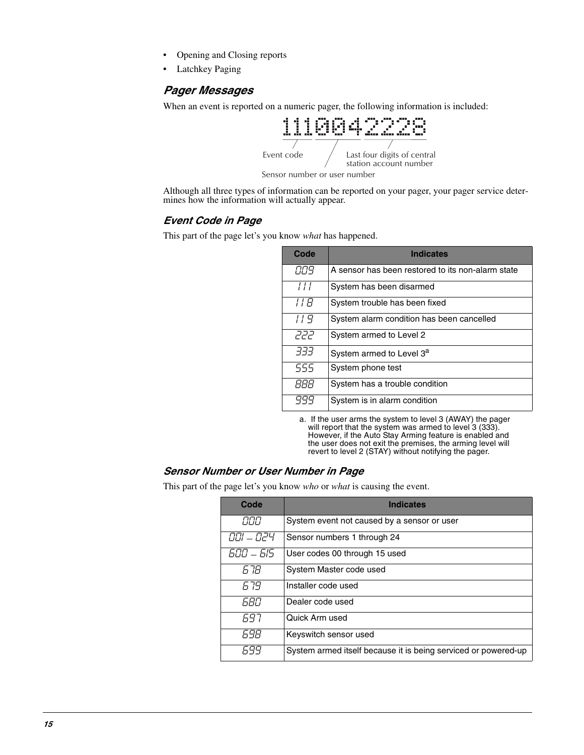- Opening and Closing reports
- Latchkey Paging

#### *Pager Messages*

When an event is reported on a numeric pager, the following information is included:



Although all three types of information can be reported on your pager, your pager service determines how the information will actually appear.

#### *Event Code in Page*

This part of the page let's you know *what* has happened.

| Code          | <b>Indicates</b>                                  |  |  |  |  |
|---------------|---------------------------------------------------|--|--|--|--|
| 889           | A sensor has been restored to its non-alarm state |  |  |  |  |
| $\frac{1}{2}$ | System has been disarmed                          |  |  |  |  |
| 11 R          | System trouble has been fixed                     |  |  |  |  |
| 119           | System alarm condition has been cancelled         |  |  |  |  |
| קקק           | System armed to Level 2                           |  |  |  |  |
| -777          | System armed to Level 3 <sup>a</sup>              |  |  |  |  |
| 555           | System phone test                                 |  |  |  |  |
| <i>BBB</i>    | System has a trouble condition                    |  |  |  |  |
|               | System is in alarm condition                      |  |  |  |  |

a. If the user arms the system to level 3 (AWAY) the pager will report that the system was armed to level 3 (333). However, if the Auto Stay Arming feature is enabled and the user does not exit the premises, the arming level will revert to level 2 (STAY) without notifying the pager.

#### *Sensor Number or User Number in Page*

This part of the page let's you know *who* or *what* is causing the event.

| Code      | <b>Indicates</b>                                               |  |  |  |  |
|-----------|----------------------------------------------------------------|--|--|--|--|
| חחח       | System event not caused by a sensor or user                    |  |  |  |  |
| 001 - 024 | Sensor numbers 1 through 24                                    |  |  |  |  |
| 600 - 615 | User codes 00 through 15 used                                  |  |  |  |  |
| 6 7R      | System Master code used                                        |  |  |  |  |
| 679       | Installer code used                                            |  |  |  |  |
| 680       | Dealer code used                                               |  |  |  |  |
| 697       | Quick Arm used                                                 |  |  |  |  |
| 698       | Keyswitch sensor used                                          |  |  |  |  |
| 699       | System armed itself because it is being serviced or powered-up |  |  |  |  |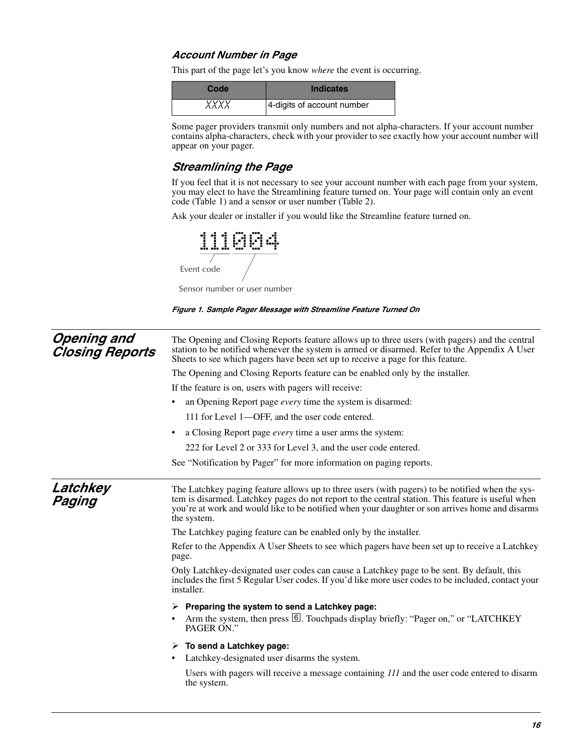#### *Account Number in Page*

This part of the page let's you know *where* the event is occurring.

| Code        | <b>Indicates</b>           |
|-------------|----------------------------|
| <i>XXXX</i> | 4-digits of account number |

Some pager providers transmit only numbers and not alpha-characters. If your account number contains alpha-characters, check with your provider to see exactly how your account number will appear on your pager.

#### *Streamlining the Page*

If you feel that it is not necessary to see your account number with each page from your system, you may elect to have the Streamlining feature turned on. Your page will contain only an event code (Table 1) and a sensor or user number (Table 2).

Ask your dealer or installer if you would like the Streamline feature turned on.



Sensor number or user number



| <b>Opening and</b><br><b>Closing Reports</b> | The Opening and Closing Reports feature allows up to three users (with pagers) and the central<br>station to be notified whenever the system is armed or disarmed. Refer to the Appendix A User<br>Sheets to see which pagers have been set up to receive a page for this feature.                                     |  |  |  |  |
|----------------------------------------------|------------------------------------------------------------------------------------------------------------------------------------------------------------------------------------------------------------------------------------------------------------------------------------------------------------------------|--|--|--|--|
|                                              | The Opening and Closing Reports feature can be enabled only by the installer.                                                                                                                                                                                                                                          |  |  |  |  |
|                                              | If the feature is on, users with pagers will receive:                                                                                                                                                                                                                                                                  |  |  |  |  |
|                                              | an Opening Report page <i>every</i> time the system is disarmed:                                                                                                                                                                                                                                                       |  |  |  |  |
|                                              | 111 for Level 1-OFF, and the user code entered.<br>a Closing Report page <i>every</i> time a user arms the system:<br>$\bullet$                                                                                                                                                                                        |  |  |  |  |
|                                              |                                                                                                                                                                                                                                                                                                                        |  |  |  |  |
|                                              | 222 for Level 2 or 333 for Level 3, and the user code entered.                                                                                                                                                                                                                                                         |  |  |  |  |
|                                              | See "Notification by Pager" for more information on paging reports.                                                                                                                                                                                                                                                    |  |  |  |  |
| Latchkey<br>Paging                           | The Latchkey paging feature allows up to three users (with pagers) to be notified when the sys-<br>tem is disarmed. Latchkey pages do not report to the central station. This feature is useful when<br>you're at work and would like to be notified when your daughter or son arrives home and disarms<br>the system. |  |  |  |  |
|                                              | The Latchkey paging feature can be enabled only by the installer.                                                                                                                                                                                                                                                      |  |  |  |  |
|                                              | Refer to the Appendix A User Sheets to see which pagers have been set up to receive a Latchkey<br>page.                                                                                                                                                                                                                |  |  |  |  |
|                                              | Only Latchkey-designated user codes can cause a Latchkey page to be sent. By default, this<br>includes the first 5 Regular User codes. If you'd like more user codes to be included, contact your<br>installer.                                                                                                        |  |  |  |  |
|                                              | $\triangleright$ Preparing the system to send a Latchkey page:                                                                                                                                                                                                                                                         |  |  |  |  |
|                                              | Arm the system, then press <b>6</b> . Touchpads display briefly: "Pager on," or "LATCHKEY"<br>PAGER ON."                                                                                                                                                                                                               |  |  |  |  |
|                                              | $\triangleright$ To send a Latchkey page:                                                                                                                                                                                                                                                                              |  |  |  |  |
|                                              | Latchkey-designated user disarms the system.<br>$\bullet$                                                                                                                                                                                                                                                              |  |  |  |  |
|                                              | Users with pagers will receive a message containing 111 and the user code entered to disarm<br>the system.                                                                                                                                                                                                             |  |  |  |  |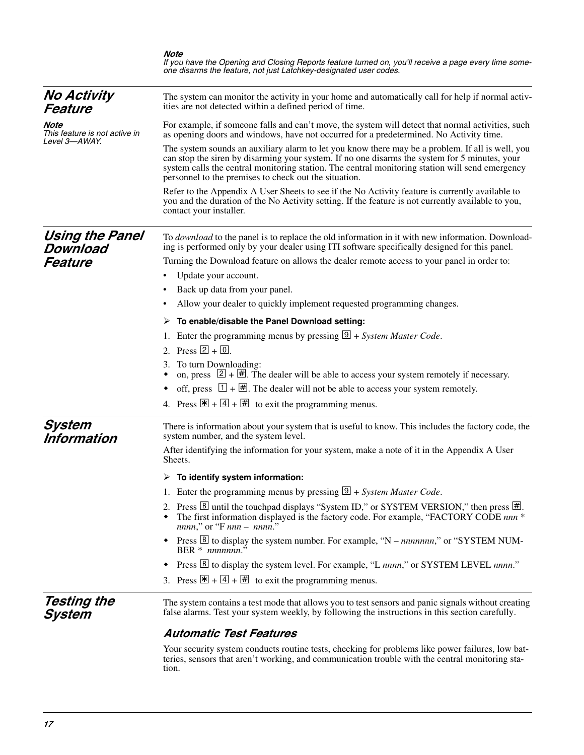|                                                        | Note<br>If you have the Opening and Closing Reports feature turned on, you'll receive a page every time some-<br>one disarms the feature, not just Latchkey-designated user codes.                                                                                                                                                                            |  |  |  |
|--------------------------------------------------------|---------------------------------------------------------------------------------------------------------------------------------------------------------------------------------------------------------------------------------------------------------------------------------------------------------------------------------------------------------------|--|--|--|
| <b>No Activity</b><br>Feature                          | The system can monitor the activity in your home and automatically call for help if normal activ-<br>ities are not detected within a defined period of time.                                                                                                                                                                                                  |  |  |  |
| Note<br>This feature is not active in<br>Level 3—AWAY. | For example, if someone falls and can't move, the system will detect that normal activities, such<br>as opening doors and windows, have not occurred for a predetermined. No Activity time.                                                                                                                                                                   |  |  |  |
|                                                        | The system sounds an auxiliary alarm to let you know there may be a problem. If all is well, you<br>can stop the siren by disarming your system. If no one disarms the system for 5 minutes, your<br>system calls the central monitoring station. The central monitoring station will send emergency<br>personnel to the premises to check out the situation. |  |  |  |
|                                                        | Refer to the Appendix A User Sheets to see if the No Activity feature is currently available to<br>you and the duration of the No Activity setting. If the feature is not currently available to you,<br>contact your installer.                                                                                                                              |  |  |  |
| Using the Panel<br>Download                            | To <i>download</i> to the panel is to replace the old information in it with new information. Download-<br>ing is performed only by your dealer using ITI software specifically designed for this panel.                                                                                                                                                      |  |  |  |
| Feature                                                | Turning the Download feature on allows the dealer remote access to your panel in order to:                                                                                                                                                                                                                                                                    |  |  |  |
|                                                        | Update your account.                                                                                                                                                                                                                                                                                                                                          |  |  |  |
|                                                        | Back up data from your panel.                                                                                                                                                                                                                                                                                                                                 |  |  |  |
|                                                        | Allow your dealer to quickly implement requested programming changes.                                                                                                                                                                                                                                                                                         |  |  |  |
|                                                        | $\triangleright$ To enable/disable the Panel Download setting:                                                                                                                                                                                                                                                                                                |  |  |  |
|                                                        | Enter the programming menus by pressing $\boxed{\mathcal{D}}$ + <i>System Master Code</i> .<br>1.                                                                                                                                                                                                                                                             |  |  |  |
|                                                        | 2. Press $[2] + [0]$ .                                                                                                                                                                                                                                                                                                                                        |  |  |  |
|                                                        | 3. To turn Downloading:<br>on, press $[2] + [H]$ . The dealer will be able to access your system remotely if necessary.                                                                                                                                                                                                                                       |  |  |  |
|                                                        | off, press $\boxed{1} + \boxed{H}$ . The dealer will not be able to access your system remotely.                                                                                                                                                                                                                                                              |  |  |  |
|                                                        | 4. Press $\mathbb{F} + \boxed{4} + \boxed{4}$ to exit the programming menus.                                                                                                                                                                                                                                                                                  |  |  |  |
| System<br>Information                                  | There is information about your system that is useful to know. This includes the factory code, the<br>system number, and the system level.                                                                                                                                                                                                                    |  |  |  |
|                                                        | After identifying the information for your system, make a note of it in the Appendix A User<br>Sheets.                                                                                                                                                                                                                                                        |  |  |  |
|                                                        | To identify system information:                                                                                                                                                                                                                                                                                                                               |  |  |  |
|                                                        | 1. Enter the programming menus by pressing $\boxed{\mathcal{D}}$ + System Master Code.                                                                                                                                                                                                                                                                        |  |  |  |
|                                                        | 2. Press $\boxtimes$ until the touchpad displays "System ID," or SYSTEM VERSION," then press $\boxplus$ .<br>The first information displayed is the factory code. For example, "FACTORY CODE nnn *<br>$nnnn$ ," or "F $nnn -nnnn$ ."                                                                                                                          |  |  |  |
|                                                        | Press $\boxed{B}$ to display the system number. For example, "N – <i>nnnnnnn</i> ," or "SYSTEM NUM-<br>٠<br>BER $*$ nnnnnn <sup>5</sup>                                                                                                                                                                                                                       |  |  |  |
|                                                        | Press <b>B</b> to display the system level. For example, "L nnnn," or SYSTEM LEVEL nnnn."<br>٠                                                                                                                                                                                                                                                                |  |  |  |
|                                                        | 3. Press $\mathbb{F} + \boxed{4} + \boxed{4}$ to exit the programming menus.                                                                                                                                                                                                                                                                                  |  |  |  |
| Testing the<br>System                                  | The system contains a test mode that allows you to test sensors and panic signals without creating<br>false alarms. Test your system weekly, by following the instructions in this section carefully.                                                                                                                                                         |  |  |  |
|                                                        | <b>Automatic Test Features</b>                                                                                                                                                                                                                                                                                                                                |  |  |  |
|                                                        | Your security system conducts routine tests, checking for problems like power failures, low bat-<br>teries, sensors that aren't working, and communication trouble with the central monitoring sta-                                                                                                                                                           |  |  |  |

tion.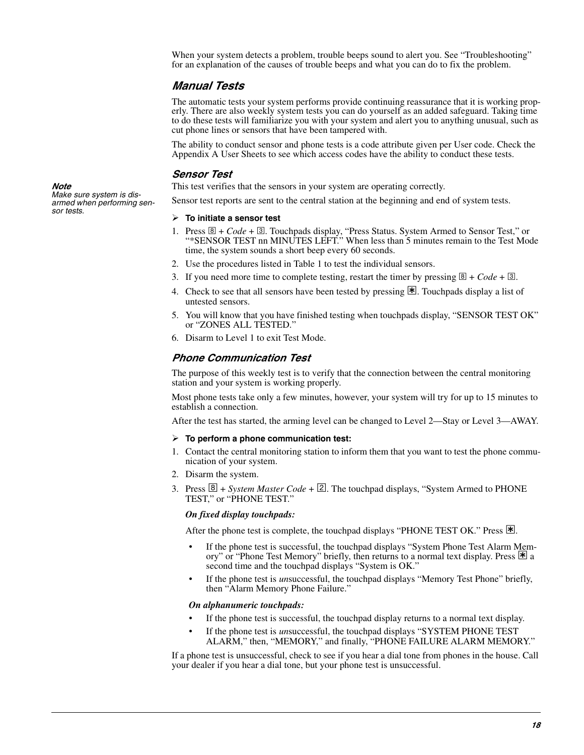When your system detects a problem, trouble beeps sound to alert you. See "Troubleshooting" for an explanation of the causes of trouble beeps and what you can do to fix the problem.

#### *Manual Tests*

The automatic tests your system performs provide continuing reassurance that it is working properly. There are also weekly system tests you can do yourself as an added safeguard. Taking time to do these tests will familiarize you with your system and alert you to anything unusual, such as cut phone lines or sensors that have been tampered with.

The ability to conduct sensor and phone tests is a code attribute given per User code. Check the Appendix A User Sheets to see which access codes have the ability to conduct these tests.

#### *Sensor Test*

This test verifies that the sensors in your system are operating correctly.

Sensor test reports are sent to the central station at the beginning and end of system tests.

#### **To initiate a sensor test**

- 1. Press  $\mathbb{B}$  + *Code* +  $\mathbb{B}$ . Touchpads display, "Press Status. System Armed to Sensor Test," or "\*SENSOR TEST nn MINUTES LEFT." When less than 5 minutes remain to the Test Mode time, the system sounds a short beep every 60 seconds.
- 2. Use the procedures listed in Table 1 to test the individual sensors.
- 3. If you need more time to complete testing, restart the timer by pressing  $\mathbb{B} + Code + \mathbb{B}$ .
- 4. Check to see that all sensors have been tested by pressing  $\mathbb{1}$ . Touchpads display a list of untested sensors.
- 5. You will know that you have finished testing when touchpads display, "SENSOR TEST OK" or "ZONES ALL TESTED."
- 6. Disarm to Level 1 to exit Test Mode.

#### *Phone Communication Test*

The purpose of this weekly test is to verify that the connection between the central monitoring station and your system is working properly.

Most phone tests take only a few minutes, however, your system will try for up to 15 minutes to establish a connection.

After the test has started, the arming level can be changed to Level 2—Stay or Level 3—AWAY.

#### **To perform a phone communication test:**

- 1. Contact the central monitoring station to inform them that you want to test the phone communication of your system.
- 2. Disarm the system.
- 3. Press  $\boxed{8}$  + *System Master Code* +  $\boxed{2}$ . The touchpad displays, "System Armed to PHONE TEST," or "PHONE TEST."

#### *On fixed display touchpads:*

After the phone test is complete, the touchpad displays "PHONE TEST OK." Press  $|\mathbf{\mathbf{\mathbf{\mathbf{\mathbf{\mathbf{X}}}}}$ .

- If the phone test is successful, the touchpad displays "System Phone Test Alarm Memory" or "Phone Test Memory" briefly, then returns to a normal text display. Press  $\mathbb{F}_a$  a second time and the touchpad displays "System is OK."
- If the phone test is *un*successful, the touchpad displays "Memory Test Phone" briefly, then "Alarm Memory Phone Failure."

#### *On alphanumeric touchpads:*

- If the phone test is successful, the touchpad display returns to a normal text display.
- If the phone test is *un*successful, the touchpad displays "SYSTEM PHONE TEST ALARM," then, "MEMORY," and finally, "PHONE FAILURE ALARM MEMORY."

If a phone test is unsuccessful, check to see if you hear a dial tone from phones in the house. Call your dealer if you hear a dial tone, but your phone test is unsuccessful.

*Note Make sure system is disarmed when performing sensor tests.*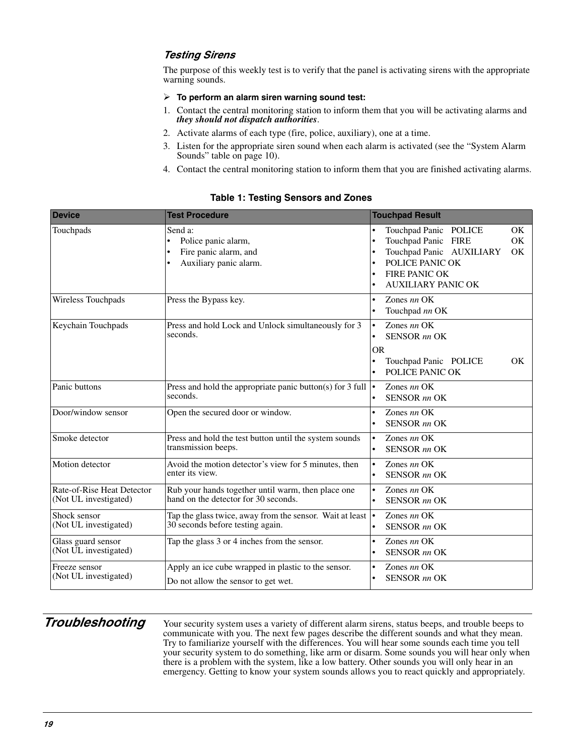#### *Testing Sirens*

The purpose of this weekly test is to verify that the panel is activating sirens with the appropriate warning sounds.

#### **To perform an alarm siren warning sound test:**

- 1. Contact the central monitoring station to inform them that you will be activating alarms and *they should not dispatch authorities*.
- 2. Activate alarms of each type (fire, police, auxiliary), one at a time.
- 3. Listen for the appropriate siren sound when each alarm is activated (see the "System Alarm Sounds" table on [page 10\)](#page-16-0).
- 4. Contact the central monitoring station to inform them that you are finished activating alarms.

| <b>Device</b>                                       | <b>Test Procedure</b>                                                                                | <b>Touchpad Result</b>                                                                                                                                                    |
|-----------------------------------------------------|------------------------------------------------------------------------------------------------------|---------------------------------------------------------------------------------------------------------------------------------------------------------------------------|
| Touchpads                                           | Send a:<br>Police panic alarm,<br>Fire panic alarm, and<br>Auxiliary panic alarm.<br>$\bullet$       | Touchpad Panic POLICE<br><b>OK</b><br>Touchpad Panic FIRE<br>OK<br>Touchpad Panic AUXILIARY<br>OK<br>POLICE PANIC OK<br><b>FIRE PANIC OK</b><br><b>AUXILIARY PANIC OK</b> |
| Wireless Touchpads                                  | Press the Bypass key.                                                                                | Zones nn OK<br>$\bullet$<br>Touchpad nn OK                                                                                                                                |
| Keychain Touchpads                                  | Press and hold Lock and Unlock simultaneously for 3<br>seconds.                                      | Zones nn OK<br>$\bullet$<br><b>SENSOR</b> nn OK<br>$\bullet$<br><b>OR</b><br>OK<br>Touchpad Panic POLICE<br>POLICE PANIC OK<br>٠                                          |
| Panic buttons                                       | Press and hold the appropriate panic button(s) for $3$ full<br>seconds.                              | Zones $nn$ OK<br>$\bullet$<br><b>SENSOR</b> nn OK<br>$\bullet$                                                                                                            |
| Door/window sensor                                  | Open the secured door or window.                                                                     | Zones nn OK<br>$\bullet$<br><b>SENSOR</b> nn OK<br>$\bullet$                                                                                                              |
| Smoke detector                                      | Press and hold the test button until the system sounds<br>transmission beeps.                        | Zones nn OK<br>$\bullet$<br><b>SENSOR</b> nn OK<br>$\bullet$                                                                                                              |
| Motion detector                                     | Avoid the motion detector's view for 5 minutes, then<br>enter its view.                              | Zones nn OK<br>$\bullet$<br><b>SENSOR</b> nn OK<br>$\bullet$                                                                                                              |
| Rate-of-Rise Heat Detector<br>(Not UL investigated) | Rub your hands together until warm, then place one<br>hand on the detector for 30 seconds.           | Zones nn OK<br>$\bullet$<br><b>SENSOR</b> nn OK<br>٠                                                                                                                      |
| Shock sensor<br>(Not UL investigated)               | Tap the glass twice, away from the sensor. Wait at least $\cdot$<br>30 seconds before testing again. | Zones $nn$ OK<br><b>SENSOR</b> nn OK<br>$\bullet$                                                                                                                         |
| Glass guard sensor<br>(Not UL investigated)         | Tap the glass 3 or 4 inches from the sensor.                                                         | Zones nn OK<br>$\bullet$<br><b>SENSOR</b> nn OK                                                                                                                           |
| Freeze sensor<br>(Not UL investigated)              | Apply an ice cube wrapped in plastic to the sensor.<br>Do not allow the sensor to get wet.           | Zones nn OK<br><b>SENSOR</b> nn OK<br>٠                                                                                                                                   |

#### **Table 1: Testing Sensors and Zones**

*Troubleshooting* Your security system uses a variety of different alarm sirens, status beeps, and trouble beeps to communicate with you. The next few pages describe the different sounds and what they mean. Try to familiarize yourself with the differences. You will hear some sounds each time you tell your security system to do something, like arm or disarm. Some sounds you will hear only when there is a problem with the system, like a low battery. Other sounds you will only hear in an emergency. Getting to know your system sounds allows you to react quickly and appropriately.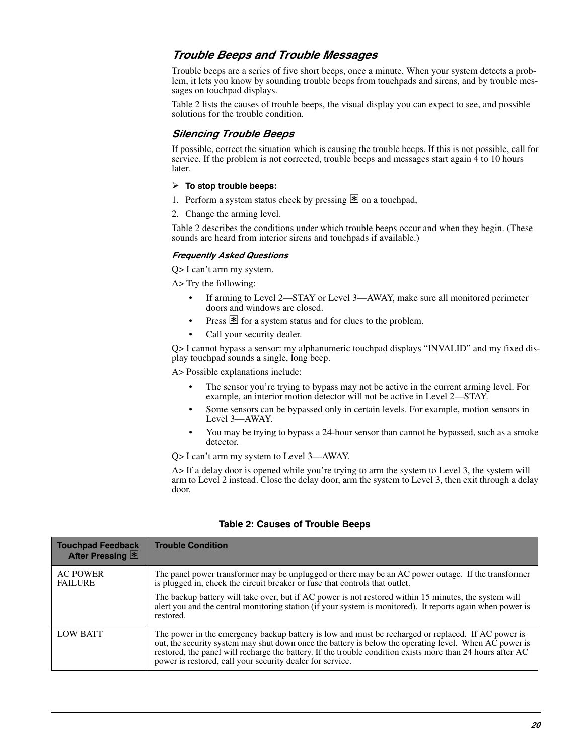#### *Trouble Beeps and Trouble Messages*

Trouble beeps are a series of five short beeps, once a minute. When your system detects a problem, it lets you know by sounding trouble beeps from touchpads and sirens, and by trouble messages on touchpad displays.

Table 2 lists the causes of trouble beeps, the visual display you can expect to see, and possible solutions for the trouble condition.

#### *Silencing Trouble Beeps*

If possible, correct the situation which is causing the trouble beeps. If this is not possible, call for service. If the problem is not corrected, trouble beeps and messages start again  $\hat{4}$  to 10 hours later.

#### **To stop trouble beeps:**

- 1. Perform a system status check by pressing  $\mathbb{F}$  on a touchpad,
- 2. Change the arming level.

Table 2 describes the conditions under which trouble beeps occur and when they begin. (These sounds are heard from interior sirens and touchpads if available.)

#### *Frequently Asked Questions*

Q> I can't arm my system.

A> Try the following:

- If arming to Level 2—STAY or Level 3—AWAY, make sure all monitored perimeter doors and windows are closed.
- Press  $\mathbb{F}$  for a system status and for clues to the problem.
- Call your security dealer.

Q> I cannot bypass a sensor: my alphanumeric touchpad displays "INVALID" and my fixed display touchpad sounds a single, long beep.

A> Possible explanations include:

- The sensor you're trying to bypass may not be active in the current arming level. For example, an interior motion detector will not be active in Level 2—STAY.
- Some sensors can be bypassed only in certain levels. For example, motion sensors in Level 3—AWAY.
- You may be trying to bypass a 24-hour sensor than cannot be bypassed, such as a smoke detector.

Q> I can't arm my system to Level 3—AWAY.

A If a delay door is opened while you're trying to arm the system to Level 3, the system will arm to Level 2 instead. Close the delay door, arm the system to Level 3, then exit through a delay door.

#### **Table 2: Causes of Trouble Beeps**

| <b>Touchpad Feedback</b><br>After Pressing 图 | <b>Trouble Condition</b>                                                                                                                                                                                                                                                                                                                                                                                               |
|----------------------------------------------|------------------------------------------------------------------------------------------------------------------------------------------------------------------------------------------------------------------------------------------------------------------------------------------------------------------------------------------------------------------------------------------------------------------------|
| <b>AC POWER</b><br><b>FAILURE</b>            | The panel power transformer may be unplugged or there may be an AC power outage. If the transformer<br>is plugged in, check the circuit breaker or fuse that controls that outlet.<br>The backup battery will take over, but if AC power is not restored within 15 minutes, the system will<br>alert you and the central monitoring station (if your system is monitored). It reports again when power is<br>restored. |
| <b>LOW BATT</b>                              | The power in the emergency backup battery is low and must be recharged or replaced. If AC power is<br>out, the security system may shut down once the battery is below the operating level. When AC power is<br>restored, the panel will recharge the battery. If the trouble condition exists more than 24 hours after AC<br>power is restored, call your security dealer for service.                                |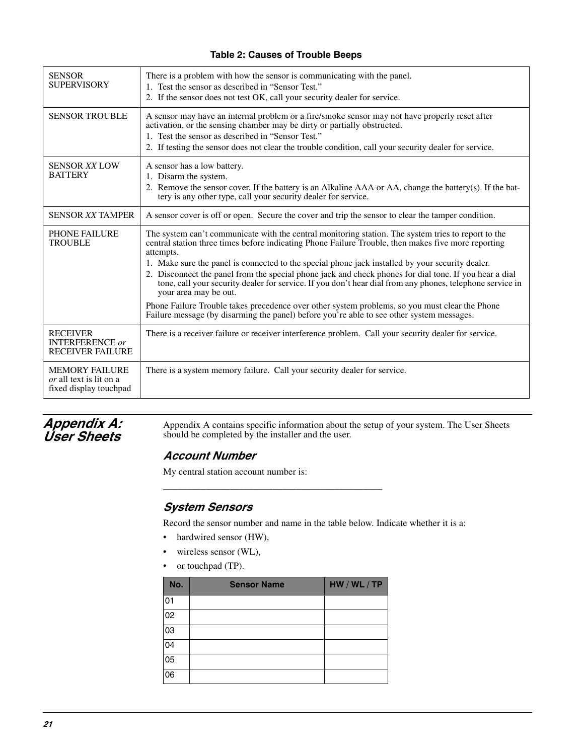#### **Table 2: Causes of Trouble Beeps**

| <b>SENSOR</b><br><b>SUPERVISORY</b>                                               | There is a problem with how the sensor is communicating with the panel.<br>1. Test the sensor as described in "Sensor Test."<br>2. If the sensor does not test OK, call your security dealer for service.                                                                                                                                                                                                                                                                                                                                                                                                                                                                                                                                                                  |  |  |  |
|-----------------------------------------------------------------------------------|----------------------------------------------------------------------------------------------------------------------------------------------------------------------------------------------------------------------------------------------------------------------------------------------------------------------------------------------------------------------------------------------------------------------------------------------------------------------------------------------------------------------------------------------------------------------------------------------------------------------------------------------------------------------------------------------------------------------------------------------------------------------------|--|--|--|
| <b>SENSOR TROUBLE</b>                                                             | A sensor may have an internal problem or a fire/smoke sensor may not have properly reset after<br>activation, or the sensing chamber may be dirty or partially obstructed.<br>1. Test the sensor as described in "Sensor Test."<br>2. If testing the sensor does not clear the trouble condition, call your security dealer for service.                                                                                                                                                                                                                                                                                                                                                                                                                                   |  |  |  |
| <b>SENSOR XX LOW</b><br><b>BATTERY</b>                                            | A sensor has a low battery.<br>1. Disarm the system.<br>2. Remove the sensor cover. If the battery is an Alkaline AAA or AA, change the battery(s). If the bat-<br>tery is any other type, call your security dealer for service.                                                                                                                                                                                                                                                                                                                                                                                                                                                                                                                                          |  |  |  |
| <b>SENSOR XX TAMPER</b>                                                           | A sensor cover is off or open. Secure the cover and trip the sensor to clear the tamper condition.                                                                                                                                                                                                                                                                                                                                                                                                                                                                                                                                                                                                                                                                         |  |  |  |
| <b>PHONE FAILURE</b><br><b>TROUBLE</b>                                            | The system can't communicate with the central monitoring station. The system tries to report to the<br>central station three times before indicating Phone Failure Trouble, then makes five more reporting<br>attempts.<br>1. Make sure the panel is connected to the special phone jack installed by your security dealer.<br>2. Disconnect the panel from the special phone jack and check phones for dial tone. If you hear a dial<br>tone, call your security dealer for service. If you don't hear dial from any phones, telephone service in<br>your area may be out.<br>Phone Failure Trouble takes precedence over other system problems, so you must clear the Phone<br>Failure message (by disarming the panel) before you're able to see other system messages. |  |  |  |
| <b>RECEIVER</b><br><b>INTERFERENCE</b> or<br><b>RECEIVER FAILURE</b>              | There is a receiver failure or receiver interference problem. Call your security dealer for service.                                                                                                                                                                                                                                                                                                                                                                                                                                                                                                                                                                                                                                                                       |  |  |  |
| <b>MEMORY FAILURE</b><br><i>or</i> all text is lit on a<br>fixed display touchpad | There is a system memory failure. Call your security dealer for service.                                                                                                                                                                                                                                                                                                                                                                                                                                                                                                                                                                                                                                                                                                   |  |  |  |

#### *Appendix A: User Sheets*

Appendix A contains specific information about the setup of your system. The User Sheets should be completed by the installer and the user.

#### *Account Number*

My central station account number is:

#### *System Sensors*

Record the sensor number and name in the table below. Indicate whether it is a:

- hardwired sensor (HW),
- wireless sensor (WL),
- or touchpad (TP).

| No.             | <b>Sensor Name</b> | HW / WL / TP |
|-----------------|--------------------|--------------|
| 01              |                    |              |
| 02              |                    |              |
| 03              |                    |              |
| 04              |                    |              |
| 05              |                    |              |
| $\overline{06}$ |                    |              |

\_\_\_\_\_\_\_\_\_\_\_\_\_\_\_\_\_\_\_\_\_\_\_\_\_\_\_\_\_\_\_\_\_\_\_\_\_\_\_\_\_\_\_\_\_\_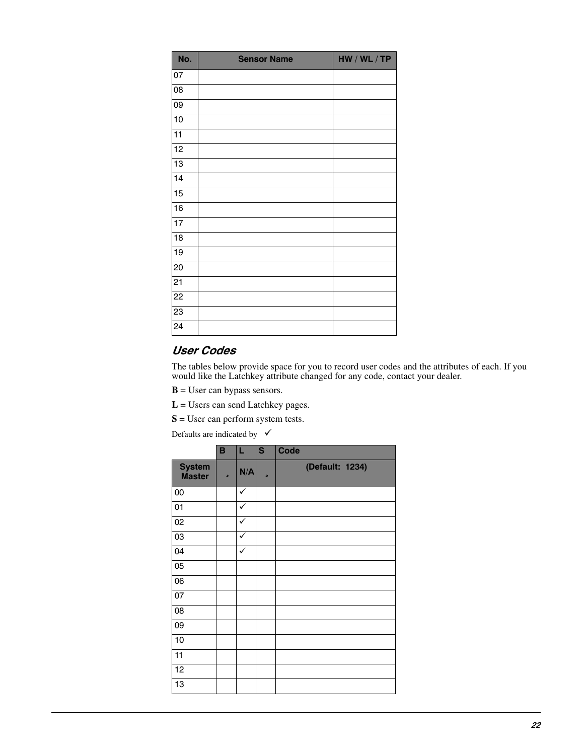| No.             | <b>Sensor Name</b> | HW / WL / TP |  |
|-----------------|--------------------|--------------|--|
| 07              |                    |              |  |
| 08              |                    |              |  |
| 09              |                    |              |  |
| 10              |                    |              |  |
| 11              |                    |              |  |
| 12              |                    |              |  |
| 13              |                    |              |  |
| 14              |                    |              |  |
| $\overline{15}$ |                    |              |  |
| 16              |                    |              |  |
| $17$            |                    |              |  |
| 18              |                    |              |  |
| 19              |                    |              |  |
| 20              |                    |              |  |
| $\overline{21}$ |                    |              |  |
| $\overline{22}$ |                    |              |  |
| 23              |                    |              |  |
| $\overline{24}$ |                    |              |  |

### *User Codes*

The tables below provide space for you to record user codes and the attributes of each. If you would like the Latchkey attribute changed for any code, contact your dealer.

- **B** = User can bypass sensors.
- **L** = Users can send Latchkey pages.
- **S** = User can perform system tests.

Defaults are indicated by  $\checkmark$ 

|                                | B | L            | S | <b>Code</b>     |
|--------------------------------|---|--------------|---|-----------------|
| <b>System</b><br><b>Master</b> | s | N/A          | ь | (Default: 1234) |
| 00                             |   | $\checkmark$ |   |                 |
| 01                             |   | ✓            |   |                 |
| 02                             |   | $\checkmark$ |   |                 |
| 03                             |   | ✓            |   |                 |
| 04                             |   | $\checkmark$ |   |                 |
| 05                             |   |              |   |                 |
| 06                             |   |              |   |                 |
| 07                             |   |              |   |                 |
| 08                             |   |              |   |                 |
| 09                             |   |              |   |                 |
| 10                             |   |              |   |                 |
| 11                             |   |              |   |                 |
| 12                             |   |              |   |                 |
| 13                             |   |              |   |                 |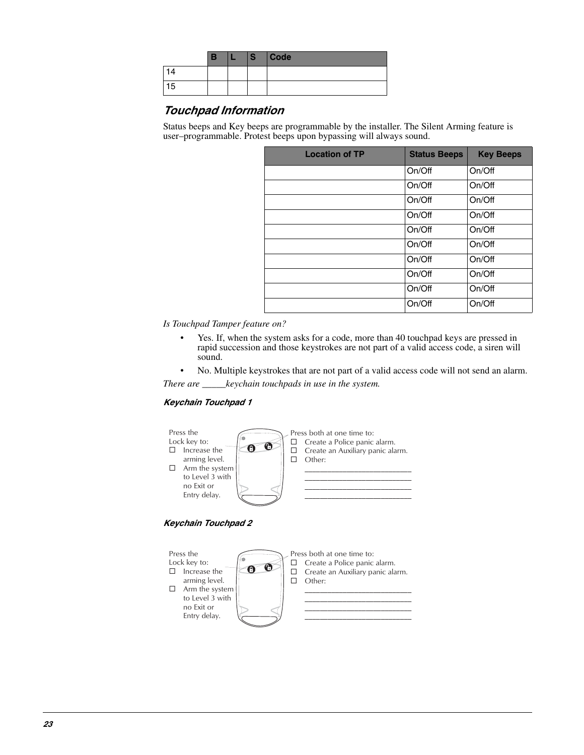|    | В | S | Code |
|----|---|---|------|
|    |   |   |      |
| 15 |   |   |      |

#### *Touchpad Information*

Status beeps and Key beeps are programmable by the installer. The Silent Arming feature is user–programmable. Protest beeps upon bypassing will always sound.

| <b>Location of TP</b> | <b>Status Beeps</b> | <b>Key Beeps</b> |
|-----------------------|---------------------|------------------|
|                       | On/Off              | On/Off           |
|                       | On/Off              | On/Off           |
|                       | On/Off              | On/Off           |
|                       | On/Off              | On/Off           |
|                       | On/Off              | On/Off           |
|                       | On/Off              | On/Off           |
|                       | On/Off              | On/Off           |
|                       | On/Off              | On/Off           |
|                       | On/Off              | On/Off           |
|                       | On/Off              | On/Off           |

*Is Touchpad Tamper feature on?*

- Yes. If, when the system asks for a code, more than 40 touchpad keys are pressed in rapid succession and those keystrokes are not part of a valid access code, a siren will sound.
- No. Multiple keystrokes that are not part of a valid access code will not send an alarm.

*There are \_\_\_\_\_keychain touchpads in use in the system.*

#### *Keychain Touchpad 1*





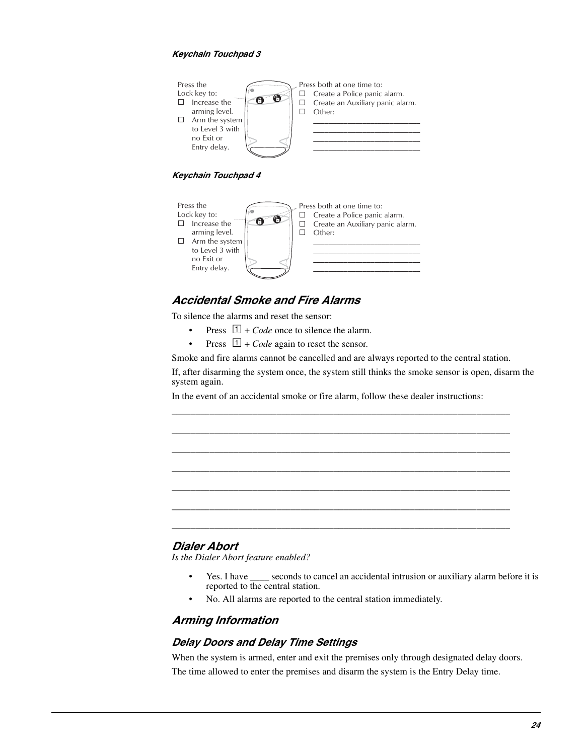#### *Keychain Touchpad 3*



*Keychain Touchpad 4*



#### *Accidental Smoke and Fire Alarms*

To silence the alarms and reset the sensor:

- Press  $\boxed{1}$  + *Code* once to silence the alarm.
- Press  $\boxed{1}$  + *Code* again to reset the sensor.

Smoke and fire alarms cannot be cancelled and are always reported to the central station.

\_\_\_\_\_\_\_\_\_\_\_\_\_\_\_\_\_\_\_\_\_\_\_\_\_\_\_\_\_\_\_\_\_\_\_\_\_\_\_\_\_\_\_\_\_\_\_\_\_\_\_\_\_\_\_\_\_\_\_\_\_\_\_\_\_\_\_\_\_\_\_

\_\_\_\_\_\_\_\_\_\_\_\_\_\_\_\_\_\_\_\_\_\_\_\_\_\_\_\_\_\_\_\_\_\_\_\_\_\_\_\_\_\_\_\_\_\_\_\_\_\_\_\_\_\_\_\_\_\_\_\_\_\_\_\_\_\_\_\_\_\_\_

\_\_\_\_\_\_\_\_\_\_\_\_\_\_\_\_\_\_\_\_\_\_\_\_\_\_\_\_\_\_\_\_\_\_\_\_\_\_\_\_\_\_\_\_\_\_\_\_\_\_\_\_\_\_\_\_\_\_\_\_\_\_\_\_\_\_\_\_\_\_\_ \_\_\_\_\_\_\_\_\_\_\_\_\_\_\_\_\_\_\_\_\_\_\_\_\_\_\_\_\_\_\_\_\_\_\_\_\_\_\_\_\_\_\_\_\_\_\_\_\_\_\_\_\_\_\_\_\_\_\_\_\_\_\_\_\_\_\_\_\_\_\_

\_\_\_\_\_\_\_\_\_\_\_\_\_\_\_\_\_\_\_\_\_\_\_\_\_\_\_\_\_\_\_\_\_\_\_\_\_\_\_\_\_\_\_\_\_\_\_\_\_\_\_\_\_\_\_\_\_\_\_\_\_\_\_\_\_\_\_\_\_\_\_

\_\_\_\_\_\_\_\_\_\_\_\_\_\_\_\_\_\_\_\_\_\_\_\_\_\_\_\_\_\_\_\_\_\_\_\_\_\_\_\_\_\_\_\_\_\_\_\_\_\_\_\_\_\_\_\_\_\_\_\_\_\_\_\_\_\_\_\_\_\_\_ \_\_\_\_\_\_\_\_\_\_\_\_\_\_\_\_\_\_\_\_\_\_\_\_\_\_\_\_\_\_\_\_\_\_\_\_\_\_\_\_\_\_\_\_\_\_\_\_\_\_\_\_\_\_\_\_\_\_\_\_\_\_\_\_\_\_\_\_\_\_\_

If, after disarming the system once, the system still thinks the smoke sensor is open, disarm the system again.

In the event of an accidental smoke or fire alarm, follow these dealer instructions:

#### *Dialer Abort*

*Is the Dialer Abort feature enabled?*

- Yes. I have seconds to cancel an accidental intrusion or auxiliary alarm before it is reported to the central station.
- No. All alarms are reported to the central station immediately.

#### *Arming Information*

#### *Delay Doors and Delay Time Settings*

When the system is armed, enter and exit the premises only through designated delay doors. The time allowed to enter the premises and disarm the system is the Entry Delay time.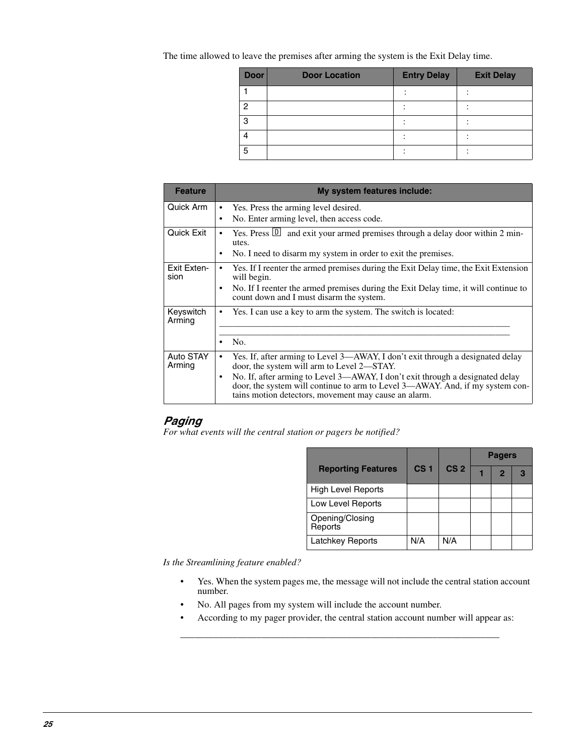The time allowed to leave the premises after arming the system is the Exit Delay time.

| <b>Door</b>    | <b>Door Location</b> | <b>Entry Delay</b> | <b>Exit Delay</b> |
|----------------|----------------------|--------------------|-------------------|
|                |                      |                    |                   |
| $\overline{2}$ |                      |                    |                   |
| 3              |                      |                    |                   |
|                |                      |                    |                   |
| 5              |                      |                    |                   |

| <b>Feature</b>      | My system features include:                                                                                                                                                                                            |
|---------------------|------------------------------------------------------------------------------------------------------------------------------------------------------------------------------------------------------------------------|
| Quick Arm           | Yes. Press the arming level desired.<br>$\bullet$                                                                                                                                                                      |
|                     | No. Enter arming level, then access code.<br>$\bullet$                                                                                                                                                                 |
| Quick Exit          | Yes. Press $\Box$ and exit your armed premises through a delay door within 2 min-<br>utes.                                                                                                                             |
|                     | No. I need to disarm my system in order to exit the premises.                                                                                                                                                          |
| Exit Exten-<br>sion | Yes. If I reenter the armed premises during the Exit Delay time, the Exit Extension<br>will begin.                                                                                                                     |
|                     | No. If I reenter the armed premises during the Exit Delay time, it will continue to<br>count down and I must disarm the system.                                                                                        |
| Keyswitch<br>Arming | Yes. I can use a key to arm the system. The switch is located:                                                                                                                                                         |
|                     |                                                                                                                                                                                                                        |
|                     | No.                                                                                                                                                                                                                    |
| Auto STAY<br>Arming | Yes. If, after arming to Level 3—AWAY, I don't exit through a designated delay<br>door, the system will arm to Level 2-STAY.                                                                                           |
|                     | No. If, after arming to Level 3—AWAY, I don't exit through a designated delay<br>door, the system will continue to arm to Level 3—AWAY. And, if my system con-<br>tains motion detectors, movement may cause an alarm. |

#### *Paging*

*For what events will the central station or pagers be notified?*

|                            |                 |                 | <b>Pagers</b> |                |  |  |
|----------------------------|-----------------|-----------------|---------------|----------------|--|--|
| <b>Reporting Features</b>  | CS <sub>1</sub> | CS <sub>2</sub> |               | $\overline{2}$ |  |  |
| <b>High Level Reports</b>  |                 |                 |               |                |  |  |
| Low Level Reports          |                 |                 |               |                |  |  |
| Opening/Closing<br>Reports |                 |                 |               |                |  |  |
| <b>Latchkey Reports</b>    | N/A             | N/A             |               |                |  |  |

*Is the Streamlining feature enabled?*

- Yes. When the system pages me, the message will not include the central station account number.
- No. All pages from my system will include the account number.
- According to my pager provider, the central station account number will appear as:

\_\_\_\_\_\_\_\_\_\_\_\_\_\_\_\_\_\_\_\_\_\_\_\_\_\_\_\_\_\_\_\_\_\_\_\_\_\_\_\_\_\_\_\_\_\_\_\_\_\_\_\_\_\_\_\_\_\_\_\_\_\_\_\_\_\_\_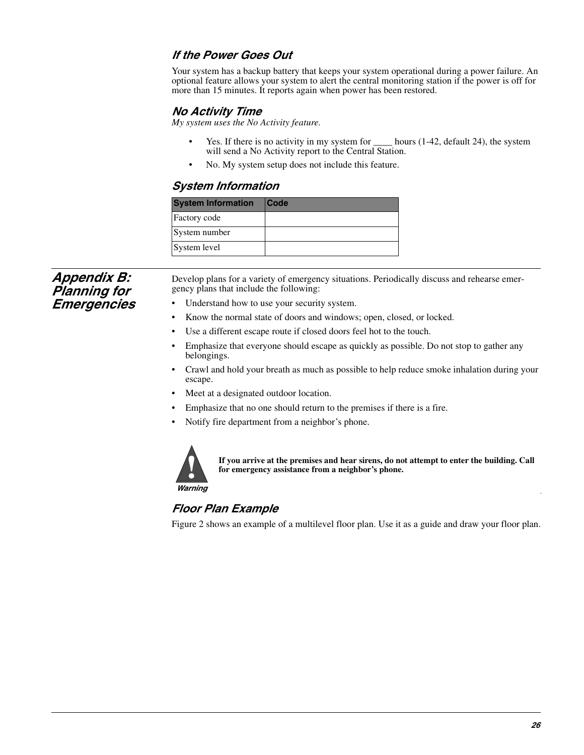#### *If the Power Goes Out*

Your system has a backup battery that keeps your system operational during a power failure. An optional feature allows your system to alert the central monitoring station if the power is off for more than 15 minutes. It reports again when power has been restored.

#### *No Activity Time*

*My system uses the No Activity feature.*

- Yes. If there is no activity in my system for <u>come hours</u> (1-42, default 24), the system will send a No Activity report to the Central Station.
- No. My system setup does not include this feature.

#### *System Information*

| <b>System Information</b> | <b>Code</b> |
|---------------------------|-------------|
| Factory code              |             |
| System number             |             |
| System level              |             |

*Appendix B: Planning for Emergencies*

Develop plans for a variety of emergency situations. Periodically discuss and rehearse emergency plans that include the following:

- Understand how to use your security system.
- Know the normal state of doors and windows; open, closed, or locked.
- Use a different escape route if closed doors feel hot to the touch.
- Emphasize that everyone should escape as quickly as possible. Do not stop to gather any belongings.
- Crawl and hold your breath as much as possible to help reduce smoke inhalation during your escape.
- Meet at a designated outdoor location.
- Emphasize that no one should return to the premises if there is a fire.
- Notify fire department from a neighbor's phone.



**If you arrive at the premises and hear sirens, do not attempt to enter the building. Call for emergency assistance from a neighbor's phone.**

*Warning*

### *Floor Plan Example*  $H$  sensitivity showld only be used in extremely  $H$  . The used in the used in  $\mathcal{H}$  is a sensitivity of  $\mathcal{H}$

Figure 2 shows an example of a multilevel floor plan. Use it as a guide and draw your floor plan.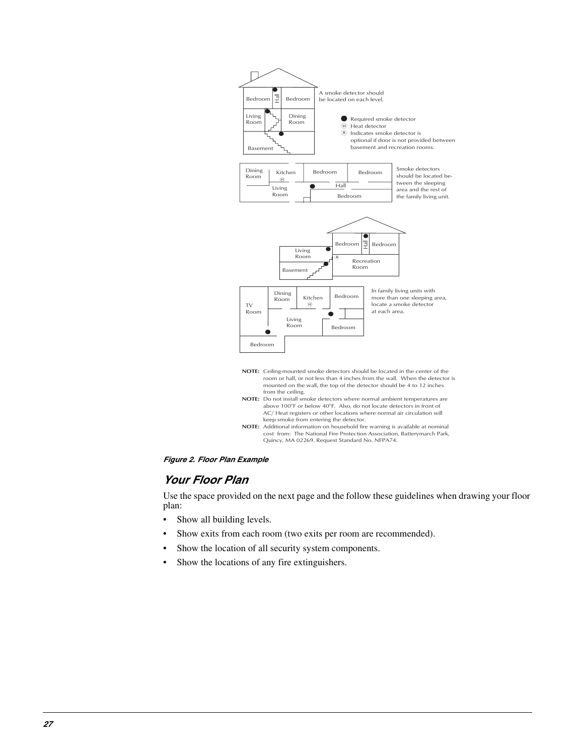



#### *Your Floor Plan*

Use the space provided on the next page and the follow these guidelines when drawing your floor plan:

- Show all building levels.
- Show exits from each room (two exits per room are recommended).
- Show the location of all security system components.
- Show the locations of any fire extinguishers.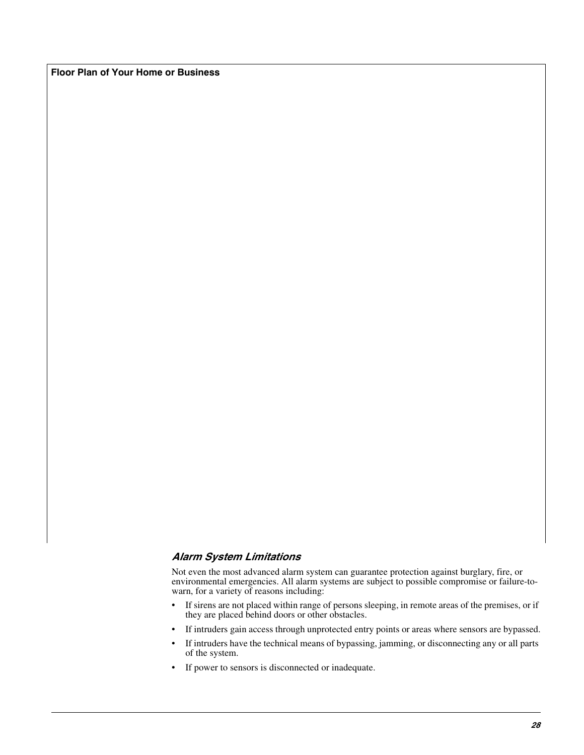**Floor Plan of Your Home or Business**

#### *Alarm System Limitations*

Not even the most advanced alarm system can guarantee protection against burglary, fire, or environmental emergencies. All alarm systems are subject to possible compromise or failure-towarn, for a variety of reasons including:

- If sirens are not placed within range of persons sleeping, in remote areas of the premises, or if they are placed behind doors or other obstacles.
- If intruders gain access through unprotected entry points or areas where sensors are bypassed.
- If intruders have the technical means of bypassing, jamming, or disconnecting any or all parts of the system.
- If power to sensors is disconnected or inadequate.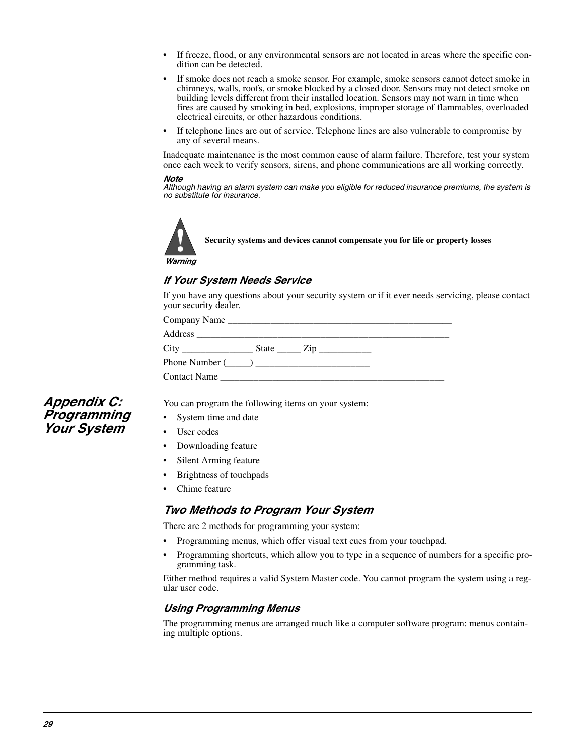- If freeze, flood, or any environmental sensors are not located in areas where the specific condition can be detected.
- If smoke does not reach a smoke sensor. For example, smoke sensors cannot detect smoke in chimneys, walls, roofs, or smoke blocked by a closed door. Sensors may not detect smoke on building levels different from their installed location. Sensors may not warn in time when fires are caused by smoking in bed, explosions, improper storage of flammables, overloaded electrical circuits, or other hazardous conditions.
- If telephone lines are out of service. Telephone lines are also vulnerable to compromise by any of several means.

Inadequate maintenance is the most common cause of alarm failure. Therefore, test your system once each week to verify sensors, sirens, and phone communications are all working correctly.

#### *Note*

*Although having an alarm system can make you eligible for reduced insurance premiums, the system is no substitute for insurance.*



**Security systems and devices cannot compensate you for life or property losses**

*Warning*

### *If Your System Needs Service* **High sensitivity should only be used in the use of the use of the use of the use of the use of the use of the u**<br>High sensitivity where the use of the use of the use of the use of the use of the use of the use of the use

If you have any questions about your security system or if it ever needs servicing, please contact your security dealer.

| Phone Number $(\_\_)$                                                                                                                                                                                                                |  |  |
|--------------------------------------------------------------------------------------------------------------------------------------------------------------------------------------------------------------------------------------|--|--|
| Contact Name <b>Server Server Server Server Server Server Server Server Server Server Server Server Server Server Server Server Server Server Server Server Server Server Server Server Server Server Server Server Server Serve</b> |  |  |

*Appendix C: Programming Your System*

You can program the following items on your system:

- System time and date
- User codes
- Downloading feature
- Silent Arming feature
- Brightness of touchpads
- Chime feature

#### *Two Methods to Program Your System*

There are 2 methods for programming your system:

- Programming menus, which offer visual text cues from your touchpad.
- Programming shortcuts, which allow you to type in a sequence of numbers for a specific programming task.

Either method requires a valid System Master code. You cannot program the system using a regular user code.

#### *Using Programming Menus*

The programming menus are arranged much like a computer software program: menus containing multiple options.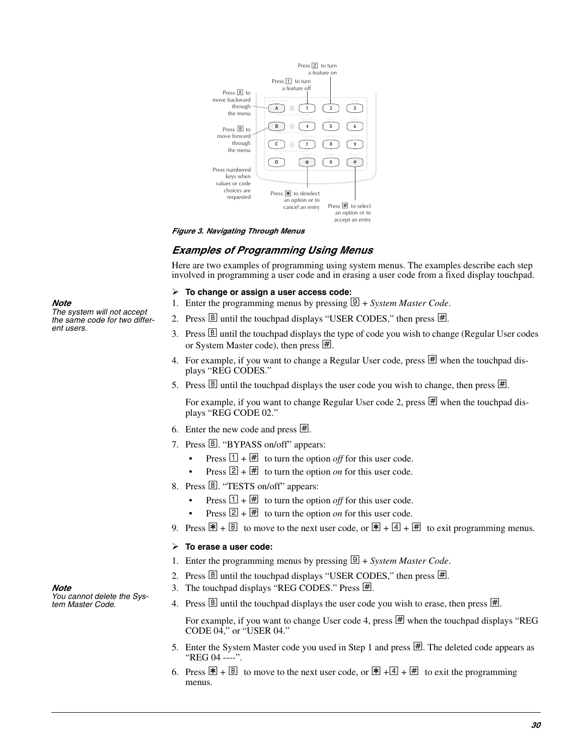

#### *Figure 3. Navigating Through Menus*

#### *Examples of Programming Using Menus*

Here are two examples of programming using system menus. The examples describe each step involved in programming a user code and in erasing a user code from a fixed display touchpad.

#### **To change or assign a user access code:**

- 1. Enter the programming menus by pressing  $\boxed{\mathfrak{D}}$  + *System Master Code*.
- 2. Press  $\boxed{B}$  until the touchpad displays "USER CODES," then press  $\boxed{\#}$ .
- 3. Press **B** until the touchpad displays the type of code you wish to change (Regular User codes or System Master code), then press  $\mathbb{H}$ .
- 4. For example, if you want to change a Regular User code, press  $\overline{\text{H}}$  when the touchpad displays "REG CODES."
- 5. Press  $\boxed{B}$  until the touchpad displays the user code you wish to change, then press  $\boxed{H}$ .

For example, if you want to change Regular User code 2, press  $\mathbb{H}$  when the touchpad displays "REG CODE 02."

- 6. Enter the new code and press  $\mathbb{H}$ .
- 7. Press B. "BYPASS on/off" appears:
	- Press  $\boxed{1} + \boxed{H}$  to turn the option *off* for this user code.
	- Press  $\boxed{2} + \boxed{\#}$  to turn the option *on* for this user code.
- 8. Press B. "TESTS on/off" appears:
	- Press  $\boxed{1 + \boxed{\#}}$  to turn the option *off* for this user code.
	- Press  $\boxed{2} + \boxed{H}$  to turn the option *on* for this user code.
- 9. Press  $\mathbb{F} + \mathbb{B}$  to move to the next user code, or  $\mathbb{F} + \mathbb{A} + \mathbb{H}$  to exit programming menus.

#### **To erase a user code:**

- 1. Enter the programming menus by pressing  $\boxed{\mathfrak{D}}$  + *System Master Code*.
- 2. Press  $\boxed{B}$  until the touchpad displays "USER CODES," then press  $\boxed{\#}$ .
- 3. The touchpad displays "REG CODES." Press  $\mathbb{H}$ .
- 4. Press  $\boxed{B}$  until the touchpad displays the user code you wish to erase, then press  $\boxed{\#}$ .

For example, if you want to change User code 4, press  $\overline{\mathbb{H}}$  when the touchpad displays "REG CODE 04," or "USER 04."

- 5. Enter the System Master code you used in Step 1 and press  $\mathbb{H}$ . The deleted code appears as "REG 04 ----".
- 6. Press  $\mathbb{F} + \mathbb{B}$  to move to the next user code, or  $\mathbb{F} + \mathbb{A} + \mathbb{H}$  to exit the programming menus.

*Note The system will not accept the same code for two different users.*

*Note* 

*You cannot delete the System Master Code.*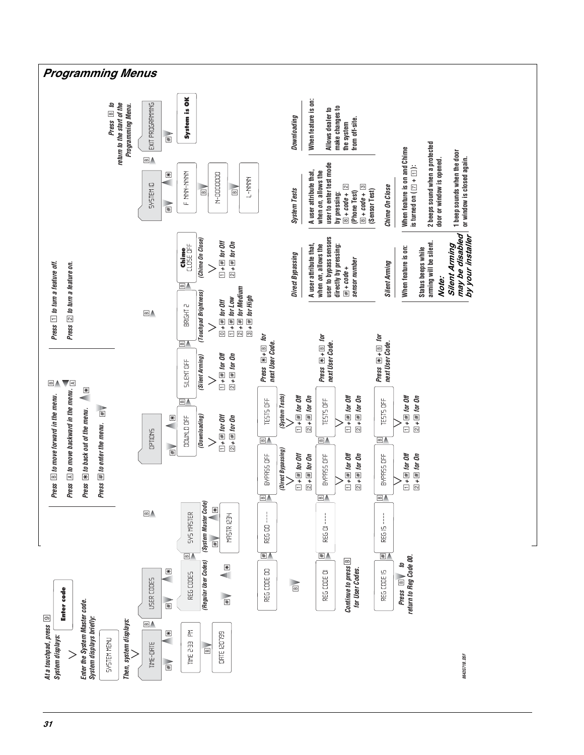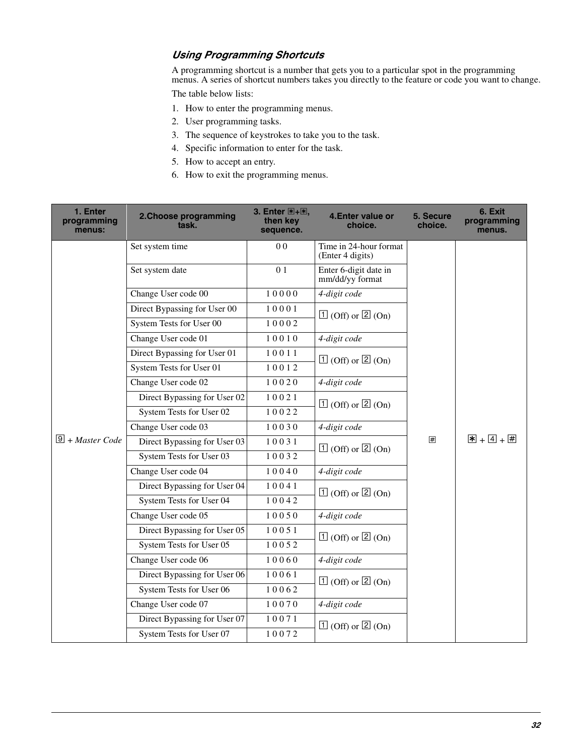#### *Using Programming Shortcuts*

A programming shortcut is a number that gets you to a particular spot in the programming menus. A series of shortcut numbers takes you directly to the feature or code you want to change.

The table below lists:

- 1. How to enter the programming menus.
- 2. User programming tasks.
- 3. The sequence of keystrokes to take you to the task.
- 4. Specific information to enter for the task.
- 5. How to accept an entry.
- 6. How to exit the programming menus.

| 1. Enter<br>programming<br>menus: | 2. Choose programming<br>task. | 3. Enter 图+图,<br>then key<br>sequence. | 4. Enter value or<br>choice.               | 5. Secure<br>choice. | 6. Exit<br>programming<br>menus.                  |
|-----------------------------------|--------------------------------|----------------------------------------|--------------------------------------------|----------------------|---------------------------------------------------|
|                                   | Set system time                | 0 <sub>0</sub>                         | Time in 24-hour format<br>(Enter 4 digits) |                      |                                                   |
|                                   | Set system date                | 01                                     | Enter 6-digit date in<br>mm/dd/yy format   |                      |                                                   |
|                                   | Change User code 00            | 10000                                  | 4-digit code                               |                      |                                                   |
|                                   | Direct Bypassing for User 00   | 10001                                  | $\boxed{1}$ (Off) or $\boxed{2}$ (On)      |                      |                                                   |
|                                   | System Tests for User 00       | 10002                                  |                                            |                      |                                                   |
|                                   | Change User code 01            | 10010                                  | 4-digit code                               |                      |                                                   |
|                                   | Direct Bypassing for User 01   | 10011                                  | $\boxed{1}$ (Off) or $\boxed{2}$ (On)      |                      | $\boxed{\mathbf{x}}$ + $\boxed{4}$ + $\boxed{\#}$ |
|                                   | System Tests for User 01       | 10012                                  |                                            |                      |                                                   |
|                                   | Change User code 02            | 10020                                  | 4-digit code                               |                      |                                                   |
|                                   | Direct Bypassing for User 02   | 10021                                  | $\boxed{1}$ (Off) or $\boxed{2}$ (On)      |                      |                                                   |
|                                   | System Tests for User 02       | 10022                                  |                                            |                      |                                                   |
|                                   | Change User code 03            | 10030                                  | 4-digit code                               | 囲                    |                                                   |
| $\boxed{9}$ + Master Code         | Direct Bypassing for User 03   | 10031                                  | $\boxed{1}$ (Off) or $\boxed{2}$ (On)      |                      |                                                   |
|                                   | System Tests for User 03       | 10032                                  |                                            |                      |                                                   |
|                                   | Change User code 04            | 10040                                  | 4-digit code                               |                      |                                                   |
|                                   | Direct Bypassing for User 04   | 10041                                  | $\boxed{1}$ (Off) or $\boxed{2}$ (On)      |                      |                                                   |
|                                   | System Tests for User 04       | 10042                                  |                                            |                      |                                                   |
|                                   | Change User code 05            | 10050                                  | 4-digit code                               |                      |                                                   |
|                                   | Direct Bypassing for User 05   | 10051                                  | $\boxed{1}$ (Off) or $\boxed{2}$ (On)      |                      |                                                   |
|                                   | System Tests for User 05       | 10052                                  |                                            |                      |                                                   |
|                                   | Change User code 06            | 10060                                  | 4-digit code                               |                      |                                                   |
|                                   | Direct Bypassing for User 06   | 10061                                  | $\boxed{1}$ (Off) or $\boxed{2}$ (On)      |                      |                                                   |
|                                   | System Tests for User 06       | 10062                                  |                                            |                      |                                                   |
|                                   | Change User code 07            | 10070                                  | 4-digit code                               |                      |                                                   |
|                                   | Direct Bypassing for User 07   | 10071                                  | $\boxed{1}$ (Off) or $\boxed{2}$ (On)      |                      |                                                   |
|                                   | System Tests for User 07       | 10072                                  |                                            |                      |                                                   |